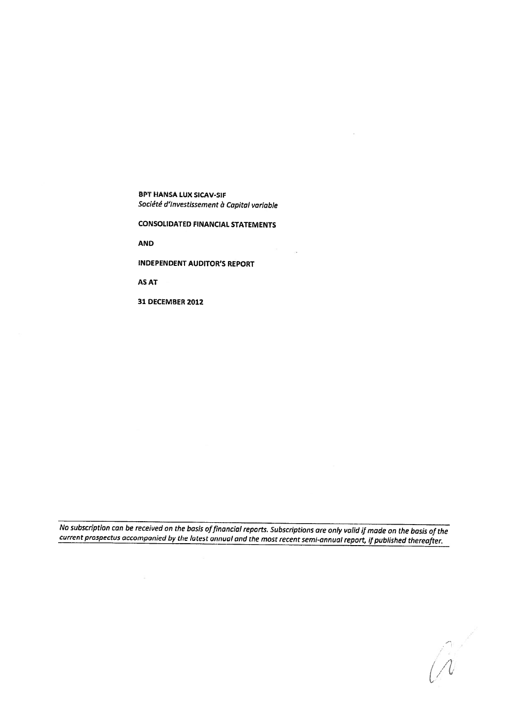BPT HANSA LUX SICAV-SIF Société d'Investissement à Capital variable

CONSOLIDATED FINANCIAl. STATEMENTS

 $\sim$ 

AND

INDEPENDENT AUDITOR'S REPORT

AS AT

 $\langle \overline{a} \rangle$ 

31 DECEMBER 2012

No subscription can be received on the basis offinancial reports. Subscriptions are only valid if made on the basis of the current prospectus accompanied by the latest annual and the most recent semi-annual report, if published thereafter.

 $\mathcal{L}$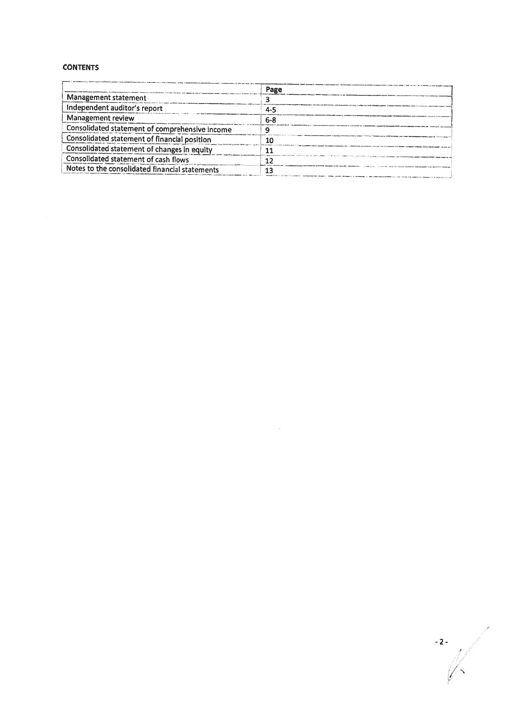## **CONTENTS**

|                                                | Page    |  |
|------------------------------------------------|---------|--|
| <b>Management statement</b>                    |         |  |
| Independent auditor's report                   | 4-5     |  |
| Management review                              | $6 - 8$ |  |
| Consolidated statement of comprehensive income | Ω       |  |
| Consolidated statement of financial position   | 10      |  |
| Consolidated statement of changes in equity    | 11      |  |
| Consolidated statement of cash flows           | 12      |  |
| Notes to the consolidated financial statements | 13      |  |

 $\mathbb{R}^n$ 

-2-  $\lambda$  .  $\lambda$ 17 <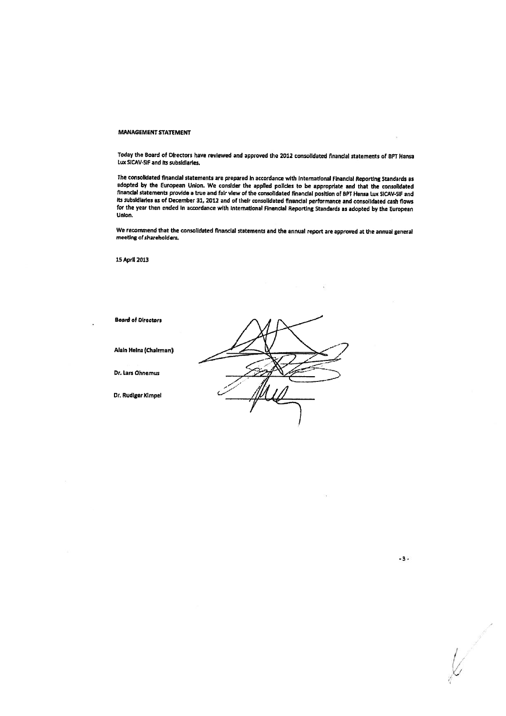#### MANAGEMENT STATEMENT

Today the Board of Directors have reviewed and approve<sup>d</sup> the <sup>2012</sup> consolidated tnanclal statements of BPT Hansa LUX SICAV-SIF and Its subsidiaries.

the consolidated financial statements are prepare<sup>d</sup> In accordance with International Financial Reporting Standards as adapted by the European Union. We consider the applied policies to be appropriate and that the consolidated financial statements provide a true and fair view of the consolidated financial position of BPT Hansa Lux SICAV-SIF and Its subsidiaries as of December 31, 2012 and of their consolidated financial performance and consolidated cash flows for the year then ended In accordance with International Financial Reporting Standards as adopted by the European Union.

We recommend that the consolidated financial statements and the annual repor<sup>t</sup> are approve<sup>d</sup> at the annual genera<sup>l</sup> meeting of shareholders.

15 April 2013

Board of Directors

Alain Heinz (Chairman)

Dr. Lara Ohnemus

Dr. Rudiger Kimpel



.3.

1'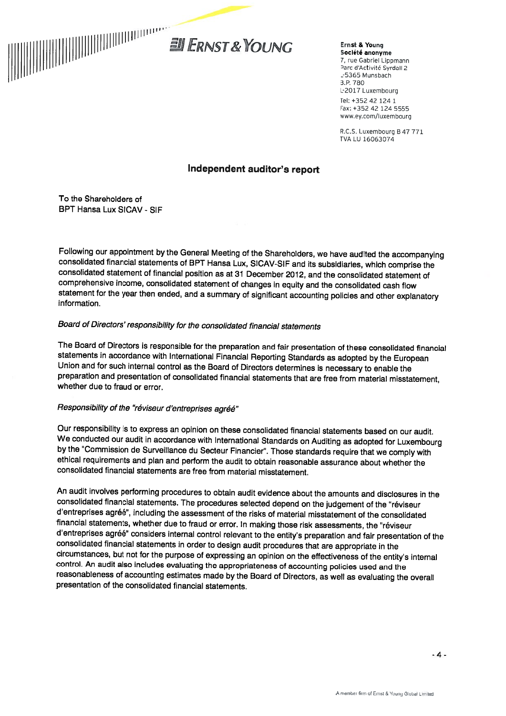

Ernst & Young Société anonyme 7, rue Gabriel Lippmann Parc d'Activité Syrdall 2 L-5365 Munsbach B.P. 780 L-2017 Luxembourg Tel: +352 42 124 1 Fax: +352 42 124 5555 www.ey.com/luxembourg

R.C.S. Luxembourg 847 <sup>771</sup> TVA LU 16063074

## Independent auditor's report

To the Shareholders of BPT Hansa Lux SICAV - SIF

Following our appointment by the General Meeting of the Shareholders, we have audited the accompanying consolidated financial statements of BPT Hansa Lux, SICAV-SIF and its subsidiaries, which comprise the consolidated sta comprehensive income, consolidated statement of changes in equity and the consolidated cash flow statement for the year then ended, and <sup>a</sup> summary of significant accounting policies and other explanatory information.

# Board of Directors' responsibility for the consolidated financial statements

The Board of Directors is responsible for the preparation and fair presentation of these consolidated financial<br>statements in accordance with International Financial Reporting Standards as adopted by the European Union and for such internal control as the Board of Directors determines is necessary to enable the<br>preparation and presentation of consolidated financial statements that are free from material misstatement,<br>whether due to

## Responsibility of the "réviseur d'entreprises agréé"

Our responsibility is to express an opinion on these consolidated financial statements based on our audit.<br>We conducted our audit in accordance with International Standards on Auditing as adopted for Luxembourg by the "Commission de Surveillance du Secteur Financier". Those standards require that we comply with<br>ethical requirements and plan and perform the audit to obtain reasonable assurance about whether the consolidated financial statements are free from material misstatement.

An audit involves performing procedures to obtain audit evidence about the amounts and disclosures in the consolidated financial statements. The procedures selected depend on the judgement of the "réviseur d'entreprises agréé", including the assessment of the risks of material misstatement of the consolidated financial statements, whether due to fraud or error. In making those risk assessments, the "réviseur d'entreprises agréé" considers internal control relevant to the entity's preparation and fair presentation of the<br>consolidated financial statements in order to design audit procedures that are appropriate in the circumstances, but not for the purpose of expressing an opinion on the effectiveness of the entity's internal<br>control. An audit also includes evaluating the appropriateness of accounting policies used and the reasonableness of accounting estimates made by the Board of Directors, as well as evaluating the overall presentation of the consolidated financial statements.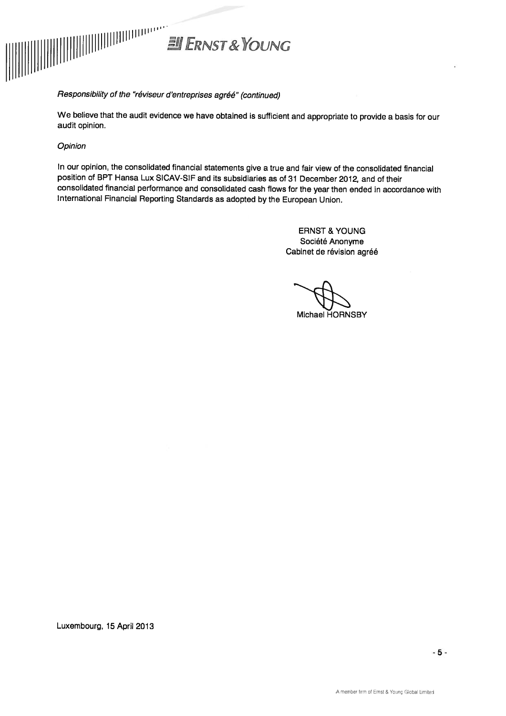

## Responsibility of the "réviseur d'entreprises agrëé" (continued)

We believe that the audit evidence we have obtained is sufficient and appropriate to provide <sup>a</sup> basis for our audit opinion.

## **Opinion**

In our opinion, the consolidated financial statements <sup>g</sup>ive <sup>a</sup> true and fair view of the consolidated financial position of BPT Hansa Lux SICAV-SIF and its subsidiaries as of <sup>31</sup> December 2012, and of their consolidated financial performance and consolidated cash flows for the year then ended in accordance with International Financial Reporting Standards as adopted by the European Union.

> ERNST & YOUNG Société Anonyme Cabinet de révision agréé

Michael HORNSBY

Luxembourg, 15 April 2013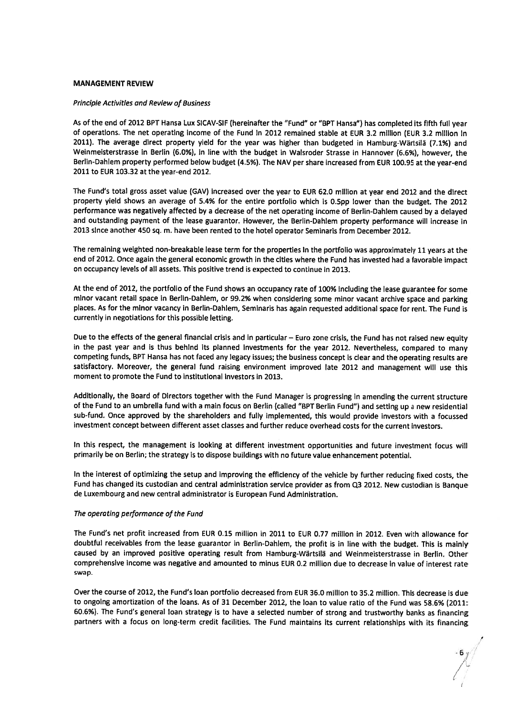### MANAGEMENT REVIEW

#### Principle Activities and Review of Business

As of the end of 2012 BPT Hansa Lux SICAV-SIF (hereinafter the "Fund" or "BPT Hansa") has completed its fifth full year of operations. The net operating income of the Fund in 2012 remained stable at EUR 3.2 million (EUR 3.2 million In 2011). The average direct property <sup>y</sup>ield for the year was higher than budgeted in Hamburg-Wartsila (7.1%) and Weinmeisterstrasse in Berlin (6.0%), in line with the budget in Walsroder Strasse in Hannover (6.6%), however, the Berlin-Dahiem property performed below budget (4.5%). The NAV per share increased from EUR 100.95 at the year-en<sup>d</sup> 2011 to EUR 103.32 at the year-end 2012.

The Fund's total gross asset value (GAy) increased over the year to EUR 62.0 millIon at year end <sup>2012</sup> and the direct property <sup>y</sup>ield shows an average of 5.4% for the entire portfolio which is 0.Spp lower than the budget. The <sup>2012</sup> performance was negatively affected by <sup>a</sup> decrease of the net operating income of Berlin-Dahiem caused by <sup>a</sup> delayed and outstanding paymen<sup>t</sup> of the lease guarantor. However, the Berlin-Dahiem property performance will increase in <sup>2013</sup> sInce another 450 sq. m. have been rented to the hotel operator Seminaris from December 2012.

The remaining weighted non-breakable lease term for the properties in the portfolio was approximately <sup>11</sup> years at the end of 2012. Once again the genera<sup>l</sup> economic growth in the cities where the Fund has invested had <sup>a</sup> favorable impact on occupancy levels of all assets. This positive trend is expected to continue in 2013.

At the end of 2012, the portfolio of the Fund shows an occupancy rate of 100% including the lease guarantee for some minor vacant retail space in Berlin-Dahlem, or 99.2% when considering some minor vacant archive space and parking <sup>p</sup>laces. As for the minor vacancy in Berlin-Dahlem, Seminaris has again requested additional space for rent. The Fund is currently in negotiations for this possible letting.

Due to the effects of the genera<sup>l</sup> financial crisis and in particular — Euro zone crisis, the Fund has not raised new equity in the pas<sup>t</sup> year and is thus behind its <sup>p</sup>lanned investments for the year 2012. Nevertheless, compare<sup>d</sup> to many competing funds, BPT Hansa has not faced any legacy issues; the business concept is clear and the operating results are satisfactory. Moreover, the genera<sup>l</sup> fund raising environment improved late <sup>2012</sup> and managemen<sup>t</sup> will use this moment to promote the Fund to institutional investors in 2013.

Additionally, the Board of Directors together with the Fund Manager is progressing in amending the current structure of the Fund to an umbrella fund with <sup>a</sup> main focus on Berlin (called "BPT Berlin Fund") and setting up <sup>a</sup> new residential sub-fund. Once approve<sup>d</sup> by the shareholders and fully implemented, this would provide investors with <sup>a</sup> focussed investment concep<sup>t</sup> between different asset classes and further reduce overhead costs for the current investors.

In this respect, the managemen<sup>t</sup> is looking at different investment opportunities and future investment focus will primarily be on Berlin; the strategy is to dispose buildings with no future value enhancement potential.

In the interest of optimizing the setup and improving the efficiency of the vehicle by further reducing fixed costs, the Fund has changed its custodian and central administration service provider as from Q3 2012. New custodian is Banque de Luxembourg and new central administrator is European Fund Administration.

### The operating performance of the Fund

The Fund's net profit increased from EUR 0.15 million in 2011 to EUR 0.77 million in 2012. Even with allowance for doubtful receivables from the lease guarantor in Berlin-Dahlem, the profit is in line with the budget. This is mainly caused by an improved positive operating result from Hamburg-Wartsilä and Weinmeisterstrasse in Berlin, Other comprehensive income was negative and amounted to minus EUR 0.2 million due to decrease in value of interest rate swap.

Over the course of 2012, the Fund's loan portfolio decreased from EUR 36.0 million to 35.2 million. This decrease is due to ongoing amortization of the loans. As of <sup>31</sup> December 2012, the loan to value ratio of the Fund was 58,6% (2011: 60.6%). The Fund's genera<sup>l</sup> loan strategy is to have <sup>a</sup> selected number of strong and trustworthy banks as financing partners with <sup>a</sup> focus on long-term credit facilities. The Fund maintains its current relationships with its financing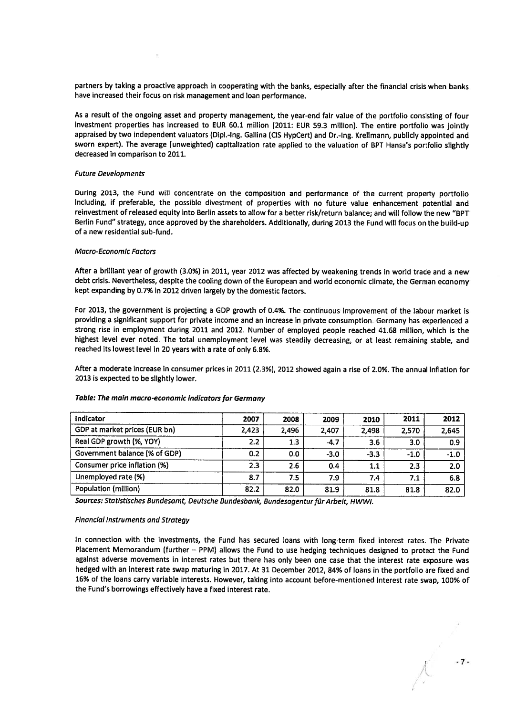partners by taking <sup>a</sup> proactive approac<sup>h</sup> in cooperating with the banks, especially after the financial crisis when banks have increased their focus on risk managemen<sup>t</sup> and loan performance.

As <sup>a</sup> result of the ongoing asset and property management, the year-en<sup>d</sup> fair value of the portfolio consisting of four investment properties has increased to EUR 60.1 million (2011: EUR 59.3 million). The entire portfolio was jointly appraised by two independent valuators (Dipl.-lng. Gallina (ClS HypCert) and Dr.-lng. Krellmann, publicly appointed and sworn expert). The average (unweighted) capitalization rate applied to the valuation of BPT Hansa's portfolio slightly decreased in comparison to 2011.

#### Future Developments

During 2013, the Fund will concentrate on the composition and performance of the current property portfolio Including, if preferable, the possible divestment of properties with no future value enhancement potential and reinvestment of released equity into Berlin assets to allow for <sup>a</sup> better risk/return balance; and will follow the new "BPT Berlin Fund" strategy, once approve<sup>d</sup> by the shareholders. Additionally, during <sup>2013</sup> the Fund will focus on the build-up of <sup>a</sup> new residential sub-fund.

#### Macro-Economic Factors

After <sup>a</sup> brilliant year of growth (3.0%) in 2011, year <sup>2012</sup> was affected by weakening trends in world trade and <sup>a</sup> new debt crisis. Nevertheless, despite the cooling down of the European and world economic climate, the German economy kept expanding by 0.7% in 2012 driven largely by the domestic factors.

For 2013, the governmen<sup>t</sup> is projecting <sup>a</sup> GOP growth of 0.4%. The continuous improvement of the labour market is providing <sup>a</sup> significant suppor<sup>t</sup> for private income and an increase in private consumption. Germany has experienced <sup>a</sup> strong rise in employment during <sup>2011</sup> and 2012. Number of employed people reached 41.68 million, which is the highest level ever noted. The total unemployment level was steadily decreasing, or at least remaining stable, and reached its lowest level in 20 years with <sup>a</sup> rate of only 6,8%.

After <sup>a</sup> moderate increase in consumer prices in <sup>2011</sup> (2.3%), <sup>2012</sup> showed again <sup>a</sup> rise of 2.0%. The annual inflation for 2013 is expected to be slightly lower.

| Indicator                     | 2007  | 2008  | 2009   | 2010   | 2011   | 2012   |
|-------------------------------|-------|-------|--------|--------|--------|--------|
| GDP at market prices (EUR bn) | 2,423 | 2.496 | 2,407  | 2.498  | 2,570  | 2,645  |
| Real GDP growth (%, YOY)      | 2.2   | 1.3   | $-4.7$ | 3.6    | 3.0    | 0.9    |
| Government balance (% of GDP) | 0.2   | 0.0   | $-3.0$ | $-3.3$ | $-1.0$ | $-1.0$ |
| Consumer price inflation (%)  | 2.3   | 2.6   | 0.4    | 1.1    | 2.3    | 2.0    |
| Unemployed rate (%)           | 8.7   | 7.5   | 7.9    | 7.4    | 7.1    | 6.8    |
| Population (million)          | 82.2  | 82.0  | 81.9   | 81.8   | 81.8   | 82.0   |

#### Table: The main macro-economic indicators for Germany

Sources: Statistisches Bundesamt, Deutsche Bundesbank, Bundesagentur für Arbeit, HWWI.

#### Financial Instruments and Strategy

In connection with the investments, the Fund has secured loans with long-term fixed interest rates. The Private Placement Memorandum (further — PPM) allows the Fund to use hedging techniques designed to protect the Fund against adverse movements in interest rates but there has only been one case that the interest rate exposure was hedged with an interest rate swap maturing in 2017. At <sup>31</sup> December 2012, 84% of loans in the portfolio are fixed and 16% of the loans carry variable interests. However, taking into account before-mentioned interest rate swap, 100% of the Fund's borrowings effectively have <sup>a</sup> fixed interest rate.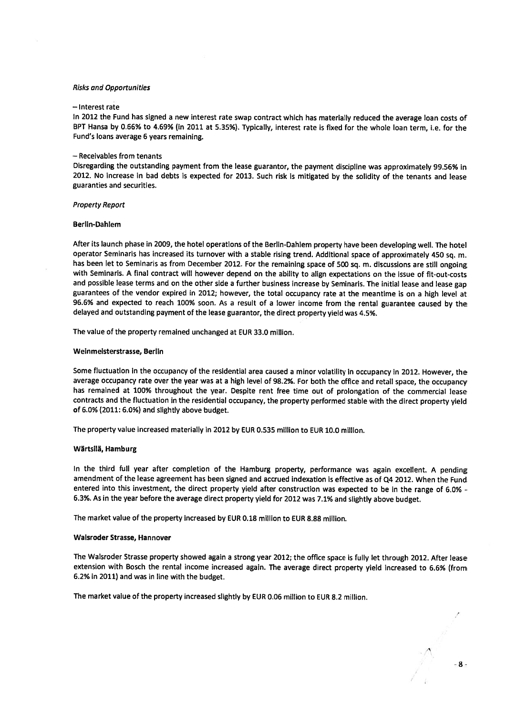#### Risks and Opportunities

#### —Interest rate

In <sup>2012</sup> the Fund has signed <sup>a</sup> new interest rate swap contract which has materially reduced the average loan costs of BPT Hansa by 0.66% to 4.69% (in 2011 at 5.35%). Typically, interest rate is fixed for the whole loan term, i.e. for the Fund's loans average <sup>6</sup> years remaining.

#### — Receivables from tenants

Disregarding the outstanding paymen<sup>t</sup> from the lease guarantor, the paymen<sup>t</sup> discipline was approximately 99.56% in 2012. No increase in bad debts is expected for 2013. Such risk is mitigated by the solidity of the tenants and lease guaranties and securities.

#### Property Report

#### Berlin-Dahiem

After its launch <sup>p</sup>hase in 2009, the hotel operations of the Berlin-Dahlem property have been developing well. The hotel operator Seminaris has increased its turnover with a stable rising trend. Additional space of approximately 450 sq. m. has been let to Seminaris as from December 2012. For the remaining space of <sup>500</sup> sq. m. discussions are still ongoing with Seminaris. <sup>A</sup> final contract will however depend on the ability to align expectations on the issue of fit-out-costs and possible lease terms and on the other side <sup>a</sup> further business increase by Seminaris. The initial lease and lease gap guarantees of the vendor expired in 2012; however, the total occupancy rate at the meantime is on <sup>a</sup> high level at 96.6% and expected to reach 100% soon. As <sup>a</sup> result of <sup>a</sup> lower income from the rental guarantee caused by the delayed and outstanding paymen<sup>t</sup> of the lease guarantor, the direct property <sup>y</sup>ield was 4,5%.

The value of the property remained unchanged at EUR 33.0 million.

#### Weinmelsterstrasse, Berlin

Some fluctuation in the occupancy of the residential area caused a minor volatility in occupancy in 2012. However, the average occupancy rate over the year was at a high level of 98.2%. For both the office and retail space, the occupancy has remained at 100% throughout the year. Despite rent free time out of prolongation of the commercial lease contracts and the fluctuation in the residential occupancy, the property performed stable with the direct property <sup>y</sup>ield of 6.0% (2011: 6.0%) and slightly above budget.

The property value increased materially in <sup>2012</sup> by EUR 0.535 million to EUR 10.0 million.

#### Wärtsilä, Hamburg

In the third full year after completion of the Hamburg property, performance was again excellent. <sup>A</sup> pending amendment of the lease agreemen<sup>t</sup> has been signed and accrued indexation is effective as of Q4 2012. When the Fund entered into this investment, the direct property <sup>y</sup>ield after construction was expected to be in the range of 6.0% - 6.3%. As in the year before the average direct property <sup>y</sup>ield for <sup>2012</sup> was 7.1% and slightly above budget.

The market value of the property increased by EUR 0.18 million to EUR 8.88 million.

#### Waisroder Strasse, Hannover

The Walsroder Strasse property showed again <sup>a</sup> strong year 2012; the office space is fully let through 2012. After lease extension with Bosch the rental income increased again. The average direct property <sup>y</sup>ield increased to 6.6% (from 6.2% in 2011) and was in line with the budget.

The market value of the property increased slightly by EUR 0.06 million to EUR 8.2 million.

 $-8-$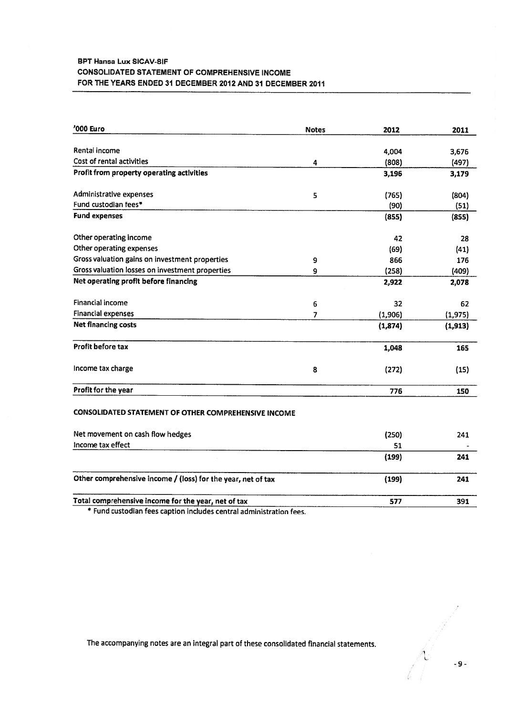## BPT Hansa Lux SICAV.SIF CONSOLIDATED STATEMENT OF COMPREHENSIVE INCOME FOR THE YEARS ENDED 31 DECEMBER 2012 AND 31 DECEMBER 2011

| '000 Euro                                                          | <b>Notes</b>     | 2012    | 2011     |
|--------------------------------------------------------------------|------------------|---------|----------|
| Rental income                                                      |                  | 4,004   | 3,676    |
| Cost of rental activities                                          | 4                | (808)   | (497)    |
| Profit from property operating activities                          |                  | 3,196   | 3,179    |
| Administrative expenses                                            | 5                | (765)   | (804)    |
| Fund custodian fees*                                               |                  | (90)    | (51)     |
| <b>Fund expenses</b>                                               |                  | (855)   | (855)    |
| Other operating income                                             |                  | 42      | 28       |
| Other operating expenses                                           |                  | (69)    | (41)     |
| Gross valuation gains on investment properties                     | 9                | 866     | 176      |
| Gross valuation losses on investment properties                    | 9                | (258)   | (409)    |
| Net operating profit before financing                              |                  | 2,922   | 2,078    |
| <b>Financial income</b>                                            | $\boldsymbol{6}$ | 32      | 62       |
| <b>Financial expenses</b>                                          | 7                | (1,906) | (1, 975) |
| <b>Net financing costs</b>                                         |                  | (1,874) | (1, 913) |
| Profit before tax                                                  |                  | 1,048   | 165      |
| Income tax charge                                                  | 8                | (272)   | (15)     |
| Profit for the year                                                |                  | 776     | 150      |
| CONSOLIDATED STATEMENT OF OTHER COMPREHENSIVE INCOME               |                  |         |          |
| Net movement on cash flow hedges                                   |                  | (250)   | 241      |
| Income tax effect                                                  |                  | 51      |          |
|                                                                    |                  | (199)   | 241      |
| Other comprehensive income / (loss) for the year, net of tax       |                  | (199)   | 241      |
| Total comprehensive income for the year, net of tax                |                  | 577     | 391      |
| * Fund custodian fons caption includes control administration food |                  |         |          |

Fund custodian fees caption includes central administration fees.

-9-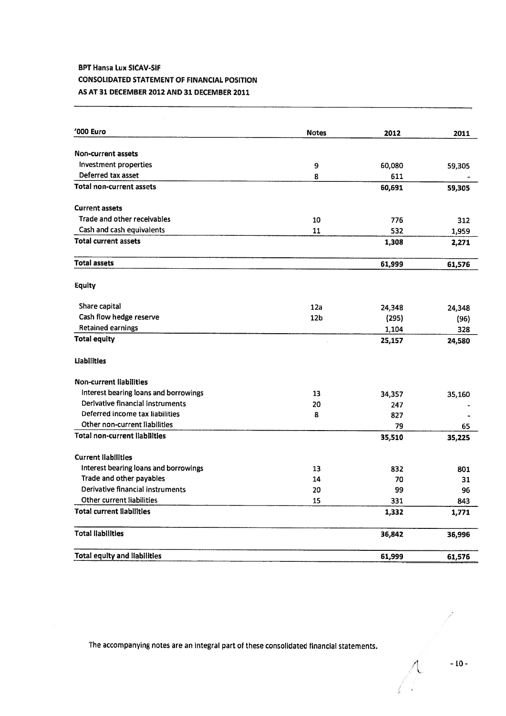## BPT Hansa Lux SICAV-SIF

## CONSOLIDATED STATEMENT OF FINANCIAL POSITION

## AS AT 31 DECEMBER 2012 AND 31 DECEMBER 2011

| '000 Euro                             | <b>Notes</b>    | 2012   | 2011   |
|---------------------------------------|-----------------|--------|--------|
| Non-current assets                    |                 |        |        |
| Investment properties                 | 9               | 60,080 | 59,305 |
| Deferred tax asset                    | 8               | 611    |        |
| <b>Total non-current assets</b>       |                 | 60,691 | 59,305 |
| <b>Current assets</b>                 |                 |        |        |
| Trade and other receivables           | 10              | 776    | 312    |
| Cash and cash equivalents             | 11              | 532    | 1,959  |
| <b>Total current assets</b>           |                 | 1,308  | 2,271  |
| <b>Total assets</b>                   |                 | 61,999 | 61,576 |
| <b>Equity</b>                         |                 |        |        |
| Share capital                         | 12a             | 24,348 | 24,348 |
| Cash flow hedge reserve               | 12 <sub>b</sub> | (295)  | (96)   |
| <b>Retained earnings</b>              |                 | 1,104  | 328    |
| <b>Total equity</b>                   |                 | 25,157 | 24,580 |
| <b>Liabilities</b>                    |                 |        |        |
| <b>Non-current liabilities</b>        |                 |        |        |
| Interest bearing loans and borrowings | 13              | 34,357 | 35,160 |
| Derlyative financial instruments      | 20              | 247    |        |
| Deferred income tax liabilities       | 8               | 827    |        |
| Other non-current liabilities         |                 | 79     | 65     |
| <b>Total non-current liabilities</b>  |                 | 35,510 | 35,225 |
| <b>Current liabilities</b>            |                 |        |        |
| Interest bearing loans and borrowings | 13              | 832    | 801    |
| Trade and other payables              | 14              | 70     | 31     |
| Derivative financial instruments      | 20              | 99     | 96     |
| Other current liabilities             | 15              | 331    | 843    |
| <b>Total current liabilities</b>      |                 | 1,332  | 1,771  |
| <b>Total liabilities</b>              |                 | 36,842 | 36,996 |
| <b>Total equity and liabilities</b>   |                 | 61,999 | 61.576 |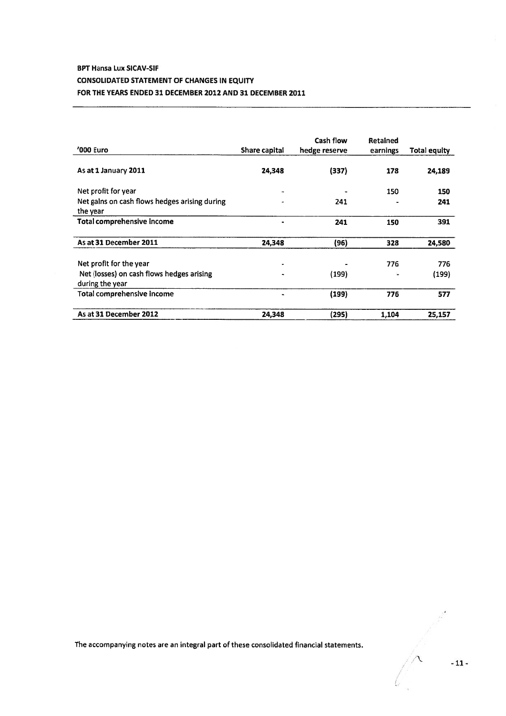# BPT Hansa Lux SICAV-SIF CONSOLIDATED STATEMENT OF CHANGES IN EQUITY FOR THE YEARS ENDED 31 DECEMBER 2012 AND 31 DECEMBER 2011

| '000 Euro                                                    | Share capital | Cash flow<br>hedge reserve | Retained<br>earnings | <b>Total equity</b> |
|--------------------------------------------------------------|---------------|----------------------------|----------------------|---------------------|
| As at 1 January 2011                                         | 24,348        | (337)                      | 178                  | 24,189              |
| Net profit for year                                          |               |                            | 150                  | 150                 |
| Net gains on cash flows hedges arising during<br>the year    |               | 241                        |                      | 241                 |
| Total comprehensive income                                   |               | 241                        | 150                  | 391                 |
| As at 31 December 2011                                       | 24,348        | (96)                       | 328                  | 24,580              |
| Net profit for the year                                      |               |                            | 776                  | 776                 |
| Net (losses) on cash flows hedges arising<br>during the year | ۰             | (199)                      |                      | (199)               |
| Total comprehensive income                                   |               | (199)                      | 776                  | 577                 |
| As at 31 December 2012                                       | 24,348        | (295)                      | 1,104                | 25,157              |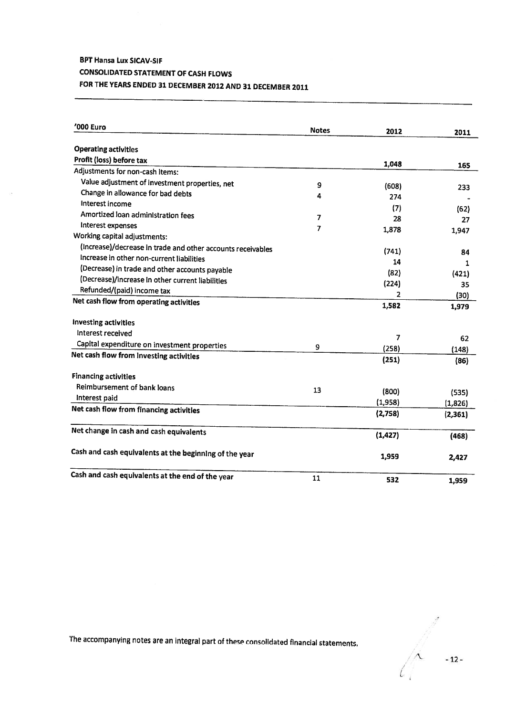# BPT Hansa Lux SICAV-SIF **CONSOLIDATED STATEMENT OF CASH FLOWS** FOR THE YEARS ENDED <sup>31</sup> DECEMBER <sup>2012</sup> AND <sup>31</sup> DECEMBER <sup>2011</sup>

| '000 Euro                                                   | <b>Notes</b>   | 2012     | 2011       |
|-------------------------------------------------------------|----------------|----------|------------|
|                                                             |                |          |            |
| <b>Operating activities</b>                                 |                |          |            |
| Profit (loss) before tax                                    |                | 1,048    | 165        |
| Adjustments for non-cash items:                             |                |          |            |
| Value adjustment of investment properties, net              | 9              | (608)    | 233        |
| Change in allowance for bad debts                           | 4              | 274      |            |
| Interest income                                             |                | (7)      |            |
| Amortized loan administration fees                          | 7              | 28       | (62)<br>27 |
| Interest expenses                                           | $\overline{7}$ | 1,878    |            |
| Working capital adjustments:                                |                |          | 1,947      |
| (Increase)/decrease in trade and other accounts receivables |                | (741)    |            |
| Increase in other non-current liabilities                   |                | 14       | 84         |
| (Decrease) in trade and other accounts payable              |                | (82)     | 1          |
| (Decrease)/increase in other current liabilities            |                | (224)    | (421)      |
| Refunded/(paid) income tax                                  |                | 2        | 35         |
| Net cash flow from operating activities                     |                | 1,582    | (30)       |
|                                                             |                |          | 1,979      |
| Investing activities                                        |                |          |            |
| Interest received                                           |                | 7        | 62         |
| Capital expenditure on investment properties                | 9              | (258)    | (148)      |
| Net cash flow from investing activities                     |                | (251)    |            |
|                                                             |                |          | (86)       |
| <b>Financing activities</b>                                 |                |          |            |
| Reimbursement of bank loans                                 | 13             | (800)    | (535)      |
| Interest paid                                               |                | (1,958)  | (1,826)    |
| Net cash flow from financing activities                     |                | (2,758)  |            |
|                                                             |                |          | (2, 361)   |
| Net change in cash and cash equivalents                     |                | (1, 427) | (468)      |
|                                                             |                |          |            |
| Cash and cash equivalents at the beginning of the year      |                | 1,959    |            |
|                                                             |                |          | 2,427      |
| Cash and cash equivalents at the end of the year            | 11             |          |            |
|                                                             |                | 532      | 1,959      |

 $\begin{matrix} 1 & 1 \\ 1 & 1 \end{matrix}$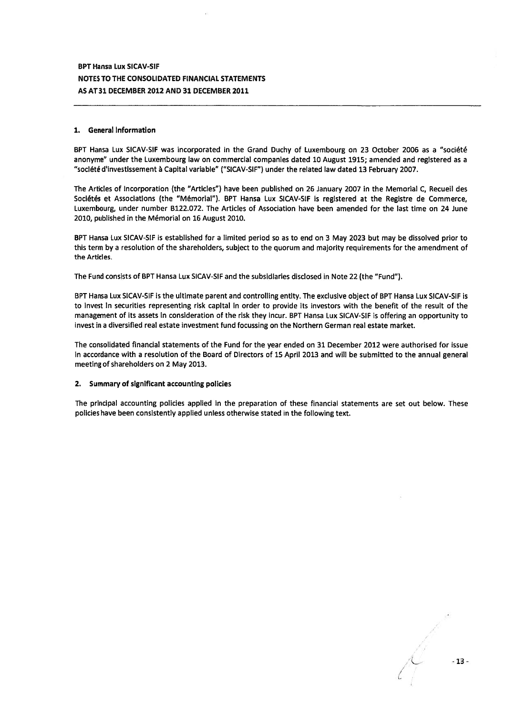#### 1. General information

BPT Hansa Lux SICAV-SIF was incorporated in the Grand Duchy of Luxembourg on 23 October 2006 as a "société anonyme" under the Luxembourg law on commercial companies dated 10 August 1915; amended and registered as <sup>a</sup> "société d'investissement a Capital variable" ("SICAV-SIF") under the related law dated <sup>13</sup> February 2007.

The Articles of Incorporation (the "Articles") have been published on 26 January 2007 in the Memorial C, Recueil des Sociétés et Associations (the "Memorial"). BPT Hansa Lux SICAV-SIF is registered at the Registre de Commerce, Luxembourg, under number 8122.072. The Articles of Association have been amended for the last time on 24 June 2010, published in the Memorial on 16 August 2010.

BPT Hansa Lux SICAVSlF is established for <sup>a</sup> limited period so as to end on 3 May 2023 but may be dissolved prior to this term by <sup>a</sup> resolution of the shareholders, subject to the quorum and majority requirements for the amendment of the Articles.

The Fund consists of BPT Hansa Lux SICAV-SIF and the subsidiaries disclosed in Note 22 (the "Fund").

BPT Hansa Lux SICAV-SIF is the ultimate paren<sup>t</sup> and controlling entity. The exclusive object of BPT Hansa Lux SICAV-SIF is to invest in securities representing risk capital in order to provide its investors with the benefit of the result of the managemen<sup>t</sup> of its assets in consideration of the risk they incur. BPT Hansa Lux SICAV-SlF is offering an opportunity to invest in <sup>a</sup> diversified real estate investment fund focussing on the Northern German real estate market.

The consolidated financial statements of the Fund for the year ended on 31 December 2012 were authorised for issue in accordance with <sup>a</sup> resolution of the Board of Directors of 15 April 2013 and will be submitted to the annual general meeting of shareholders on 2 May 2013.

## 2. Summary of significant accounting policies

The principal accounting policies applied in the preparation of these financial statements are set out below. These policies have been consistently applied unless otherwise stated in the following text.

-13-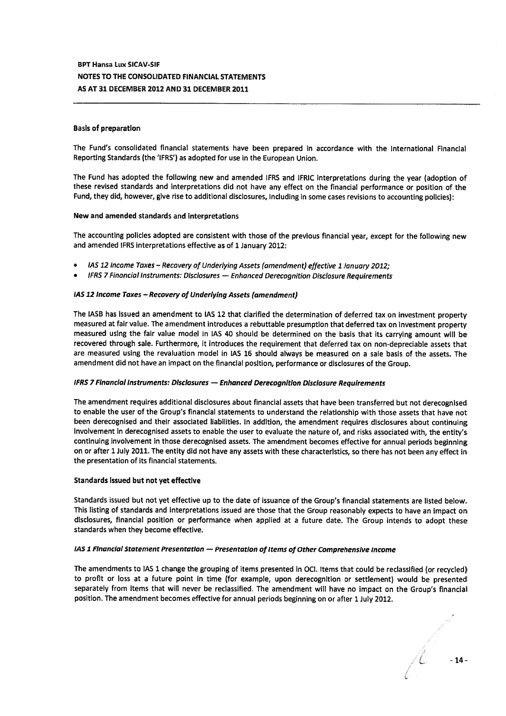#### Basis of preparation

The Fund's consolidated financial statements have been prepared in accordance with the International Financial Reporting Standards (the 'IFRS') as adopted for use in the European Union.

The Fund has adopted the following new and amended IFRS and IFRIC interpretations during the year (adoption of these revised standards and interpretations did not have any effect on the financial performance or position of the Fund, they did, however, <sup>g</sup>ive rise to additional disclosures, including in some cases revisions to accounting policies):

#### New and amended standards and interpretations

The accounting policies adopted are consistent with those of the previous financial year, excep<sup>t</sup> for the following new and amended IFRS interpretations effective as of <sup>1</sup> January 2012:

- lAS <sup>12</sup> Income Taxes Recovery of Underlying Assets (amendment) effective <sup>1</sup> January 2012;
- IFRS <sup>7</sup> Financial Instruments: Disclosures Enhanced Derecognition Disclosure Requirements

### lAS 12 Income Taxes — Recovery of Underlying Assets (amendment)

The IASB has issued an amendment to lAS <sup>12</sup> that clarified the determination of deferred tax on investment property measured at fair value. The amendment introduces a rebuttable presumption that deferred tax on investment property measured using the fair value model in lAS <sup>40</sup> should be determined on the basis that its carrying amount will be recovered through sale. Furthermore, it introduces the requirement that deferred tax on non-depreciable assets that are measured using the revaluation model in lAS <sup>16</sup> should always be measured on <sup>a</sup> sale basis of the assets. The amendment did not have an impact on the financial position, performance or disclosures of the Group.

#### IFRS <sup>7</sup> FinancIal Instruments: Disclosures — Enhanced Derecognitlon Disclosure Requirements

The amendment requires additional disclosures about financial assets that have been transferred but not derecognised to enable the user of the Group's financial statements to understand the relationship with those assets that have not been derecognised and their associated liabilities. In addition, the amendment requires disclosures about continuing involvement in derecognised assets to enable the user to evaluate the nature of, and risks associated with, the entity's continuing involvement in those derecognised assets. The amendment becomes effective for annual periods beginning on or after <sup>1</sup> July 2011. The entity did not have any assets with these characteristics, so there has not been any effect in the presentation of its financial statements.

#### Standards issued but not ye<sup>t</sup> effective

Standards issued but not ye<sup>t</sup> effective up to the date of issuance of the Group's financial statements are listed below. This listing of standards and interpretations issued are those that the Group reasonably expects to have an impact on disclosures, financial position or performance when applied at <sup>a</sup> future date. The Group intends to adopt these standards when they become effective.

## IAS 1 Financial Statement Presentation - Presentation of Items of Other Comprehensive Income

The amendments to lAS <sup>1</sup> change the grouping of items presented in OCl. Items that could be reclassified (or recycled) to profit or loss at <sup>a</sup> future point in time (for example, upon derecognition or settlement) would be presented separately from items that will never be reclassified. The amendment will have no impact on the Group's financial position. The amendment becomes effective for annual periods beginning on or after <sup>1</sup> July 2012.

 $\mathcal{L}$  -14-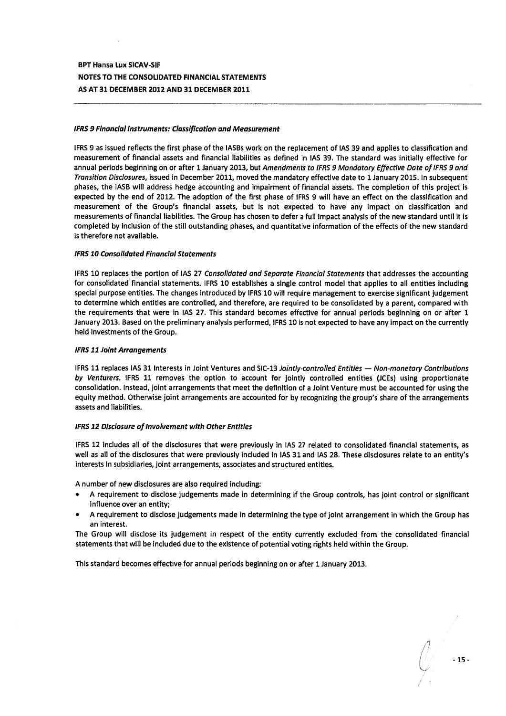### IFRS 9 Financial instruments: Classification and Measurement

IFRS 9 as issued reflects the first phase of the IASBs work on the replacement of lAS 39 and applies to classification and measurement of financial assets and financial liabilities as defined in lAS 39. The standard was initially effective for annual periods beginning on or after 1 January 2013, but Amendments to IFRS 9 Mandatory Effective Date of IFRS 9 and Transition Disclosures, issued in December 2011, moved the mandatory effective date to <sup>1</sup> January 2015. In subsequent phases, the IASB will address hedge accounting and impairment of financial assets. The completion of this project is expected by the end of 2012. The adoption of the first phase of IFRS 9 will have an effect on the classification and measurement of the Group's financial assets, but is not expected to have any impact on classification and measurements of financial liabilities. The Group has chosen to defer <sup>a</sup> full impact analysis of the new standard until it is completed by inclusion of the still outstanding phases, and quantitative information of the effects of the new standard is therefore not available.

### IFRS 10 Consolidated Financial Statements

IFRS 10 replaces the portion of IAS 27 Consolidated and Separate Financial Statements that addresses the accounting for consolidated financial statements. IFRS 10 establishes <sup>a</sup> single control model that applies to all entities including special purpose entities. The changes introduced by IFRS 10 will require managemen<sup>t</sup> to exercise significant judgement to determine which entities are controlled, and therefore, are required to be consolidated by <sup>a</sup> parent, compared with the requirements that were in lAS 27. This standard becomes effective for annual periods beginning on or after 1 January 2013. Based on the preliminary analysis performed, IFRS 10 is not expected to have any impact on the currently held investments of the Group.

#### IFRS 11 JoInt Arrangements

IFRS 11 replaces IAS 31 Interests in Joint Ventures and SIC-13 Jointly-controlled Entities - Non-monetary Contributions by Venturers. IFRS 11 removes the option to account for jointly controlled entities (iCEs) using proportionate consolidation. Instead, joint arrangements that meet the definition of <sup>a</sup> Joint Venture must be accounted for using the equity method. Otherwise joint arrangements are accounted for by recognizing the group's share of the arrangements assets and liabilities.

### IFRS 12 Disclosure of Involvement with Other Entities

IFRS 12 includes all of the disclosures that were previously in lAS 27 related to consolidated financial statements, as well as all of the disclosures that were previously included in lAS 31 and lAS 28. These disclosures relate to an entity's interests in subsidiaries, joint arrangements, associates and structured entities.

A number of new disclosures are also required including:

- A requirement to disclose judgements made in determining if the Group controls, has joint control or significant influence over an entity;
- <sup>A</sup> requirement to disclose judgements made in determining the type of joint arrangemen<sup>t</sup> in which the Group has an interest.

The Group will disclose its judgement in respec<sup>t</sup> of the entity currently excluded from the consolidated financial statements that will be included due to the existence of potential voting rights held within the Group.

This standard becomes effective for annual periods beginning on or after 1 January 2013.

-15-  $/$  :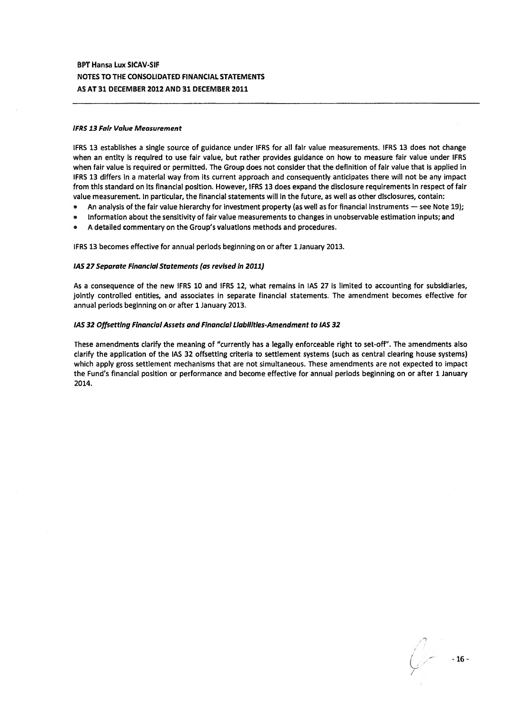#### IFRS 13 Fair Value Measurement

IFRS 13 establishes <sup>a</sup> single source of guidance under IFRS for all fair value measurements. IFRS 13 does not change when an entity is required to use fair value, but rather provides guidance on how to measure fair value under IFRS when fair value is required or permitted. The Group does not consider that the definition of fair value that is applied in IFRS 13 differs in <sup>a</sup> material way from its current approach and consequently anticipates there will not be any impact from this standard on its financial position. However, IFRS 13 does expand the disclosure requirements in respec<sup>t</sup> of fair value measurement. In particular, the financial statements will in the future, as well as other disclosures, contain:

- •An analysis of the fair value hierarchy for investment property (as well as for financial instruments — see Note 19);
- •Information about the sensitivity of fair value measurements to changes in unobservable estimation inputs; and
- A detailed commentary on the Group's valuations methods and procedures.

IFRS 13 becomes effective for annual periods beginning on or after 1 January 2013.

#### lAS 27 Separate Financial Statements (as revised in 2011)

As <sup>a</sup> consequence of the new IFRS 10 and IFRS 12, what remains in lAS 27 is limited to accounting for subsidiaries, jointly controlled entities, and associates in separate financial statements. The amendment becomes effective for annual periods beginning on or after 1 January 2013.

#### lAS 32 Offsetting Financial Assets and Financial Liabilities-Amendment to lAS 32

These amendments clarify the meaning of "currently has <sup>a</sup> legally enforceable right to set-off". The amendments also clarify the application of the lAS 32 offsetting criteria to settlement systems (such as central clearing house systems) which apply gross settlement mechanisms that are not simultaneous. These amendments are not expected to impact the Fund's financial position or performance and become effective for annual periods beginning on or after 1 January 2014.

- 16 -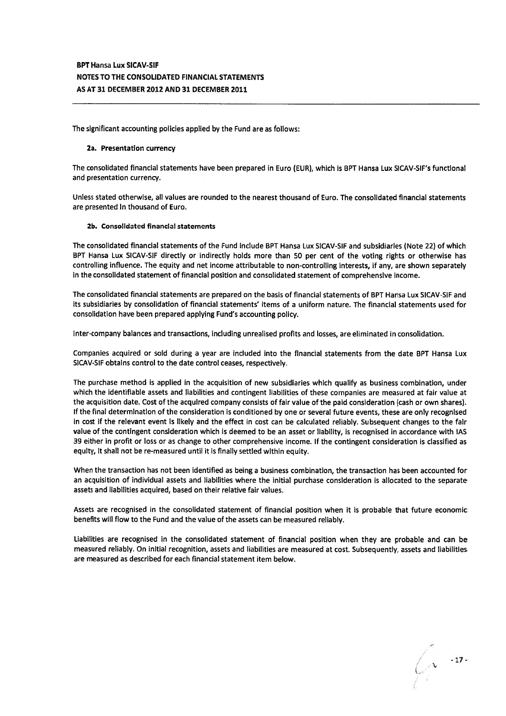The significant accounting policies applied by the Fund are as follows:

#### 2a. Presentation currency

The consolidated financial statements have been prepared in Euro (EUR), which is BPT Hansa Lux SICAV-SIF's functional and presentation currency,

Unless stated otherwise, all values are rounded to the nearest thousand of Euro. The consolidated financial statements are presented in thousand of Euro.

#### Zb. Consolidated financial statements

The consolidated financial statements of the Fund include BPT Hansa Lux SICAV-SIF and subsidiaries (Note 22) of which BPT Hansa Lux SICAV-SIF directly or indirectly holds more than <sup>50</sup> per cent of the voting rights or otherwise has controlling influence. The equity and net income attributable to non-controlling interests, if any, are shown separately in the consolidated statement of financial position and consolidated statement of comprehensive income.

The consolidated financial statements are prepared on the basis of financial statements of BPT Hansa Lux SICAV-SIF and its subsidiaries by consolidation of financial statements' items of <sup>a</sup> uniform nature. The financial statements used for consolidation have been prepared applying Fund's accounting policy.

Inter-company balances and transactions, including unrealised profits and losses, are eliminated in consolidation.

Companies acquired or sold during <sup>a</sup> year are included into the financial statements from the date BPT Hansa Lux SICAV-SIF obtains control to the date control ceases, respectively.

The purchase method is applied in the acquisition of new subsidiaries which qualify as business combination, under which the identifiable assets and liabilities and contingent liabilities of these companies are measured at fair value at the acquisition date, Cost of the acquired company consists of fair value of the paid consideration (cash or own shares). If the final determination of the consideration is conditioned by one or several future events, these are only recognised in cost if the relevant event is likely and the effect in cost can be calculated reliably. Subsequent changes to the fair value of the contingent consideration which is deemed to be an asset or liability, is recognised in accordance with lAS 39 either in profit or loss or as change to other comprehensive income. If the contingent consideration is classified as equity, it shall not be re-measured until it is finally settled within equity.

When the transaction has not been identified as being <sup>a</sup> business combination, the transaction has been accounted for an acquisition of individual assets and liabilities where the initial purchase consideration is allocated to the separate assets and liabilities acquired, based on their relative fair values.

Assets are recognised in the consolidated statement of financial position when it is probable that future economic benefits will flow to the Fund and the value of the assets can be measured reliably.

Liabilities are recognised in the consolidated statement of financial position when they are probable and can be measured reliably. On initial recognition, assets and liabilities are measured at cost. Subsequently, assets and liabilities are measured as described for each financial statement item below.

- 17 -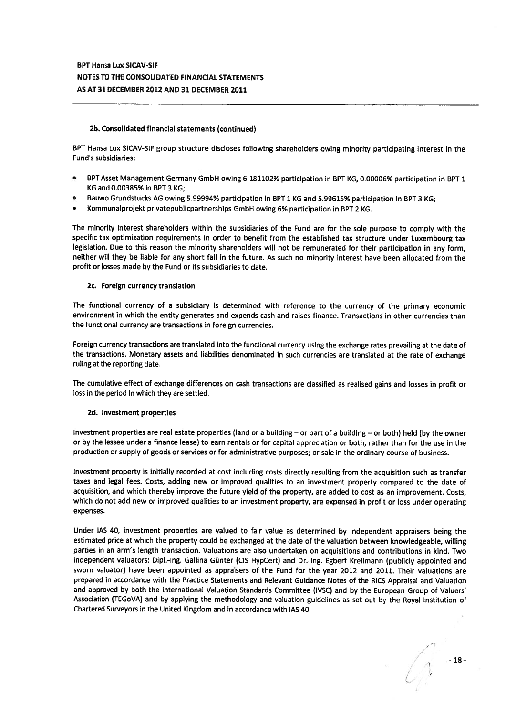## 2b. Consolidated financial statements (continued)

BPT Hansa Lux SICAV-SIF group structure discloses following shareholders owing minority participating interest in the Fund's subsidiaries:

- BPT Asset Management Germany GmbH owing 6. 181102% participation in BPT KG, 0.00006% participation in BPT <sup>1</sup>  $\bullet$ KG and 0.00385% in BPT 3 KG;
- Bauwo Grundstucks AG owing 5.99994% participation in BPT <sup>1</sup> KG and 5.99615% participation in BPT <sup>3</sup> KG;
- Kommunalprojekt privatepublicpartnerships GmbH owing 6% participation in BPT <sup>2</sup> KG.

The minority interest shareholders within the subsidiaries of the Fund are for the sole purpose to comply with the specific tax optimization requirements in order to benefit from the established tax structure under Luxembourg tax legislation. Due to this reason the minority shareholders will not be remunerated for their participation in any form, neither will they be liable for any short fall in the future. As such no minority interest have been allocated from the profit or losses made by the Fund or its subsidiaries to date.

### 2c. Foreign currency translation

The functional currency of <sup>a</sup> subsidiary is determined with reference to the currency of the primary economic environment in which the entity generates and expends cash and raises finance. Transactions in other currencies than the functional currency are transactions in foreign currencies.

Foreign currency transactions are translated into the functional currency using the exchange rates prevailing at the date of the transactions. Monetary assets and liabilities denominated in such currencies are translated at the rate of exchange ruling at the reporting date.

The cumulative effect of exchange differences on cash transactions are classified as realised gains and losses in profit or loss in the period in which they are settled.

### Zd, Investment properties

Investment properties are real estate properties (land or <sup>a</sup> building — or par<sup>t</sup> of <sup>a</sup> building-- or both) held (by the owner or by the lessee under <sup>a</sup> finance lease) to earn rentals or for capital appreciation or both, rather than for the use in the production or supply of goods or services or for administrative purposes; or sale in the ordinary course of business.

Investment property is initially recorded at cost including costs directly resulting from the acquisition such as transfer taxes and legal fees. Costs, adding new or improved qualities to an investment property compare<sup>d</sup> to the date of acquisition, and which thereby improve the future <sup>y</sup>ield of the property, are added to cost as an improvement. Costs, which do not add new or improved qualities to an investment property, are expense<sup>d</sup> in profit or loss under operating expenses.

Under lAS 40, investment properties are valued to fair value as determined by independent appraisers being the estimated price at which the property could be exchanged at the date of the valuation between knowledgeable, willing parties in an arm's length transaction. Valuations are also undertaken on acquisitions and contributions in kind. Two independent valuators: Dipl,-lng. Gallina Günter (CIS HypCert) and Dr.-lng. Egbert Krellmann (publicly appointed and sworn valuator) have been appointed as appraisers of the Fund for the year <sup>2012</sup> and 2011. Their valuations are prepare<sup>d</sup> in accordance with the Practice Statements and Relevant Guidance Notes of the RICS Appraisal and Valuation and approve<sup>d</sup> by both the International Valuation Standards Committee (IVSC) and by the European Group of Valuers' Association (TEGoVA) and by applying the methodology and valuation guidelines as set out by the Royal Institution of Chartered Surveyors in the United Kingdom and in accordance with lAS 40.

1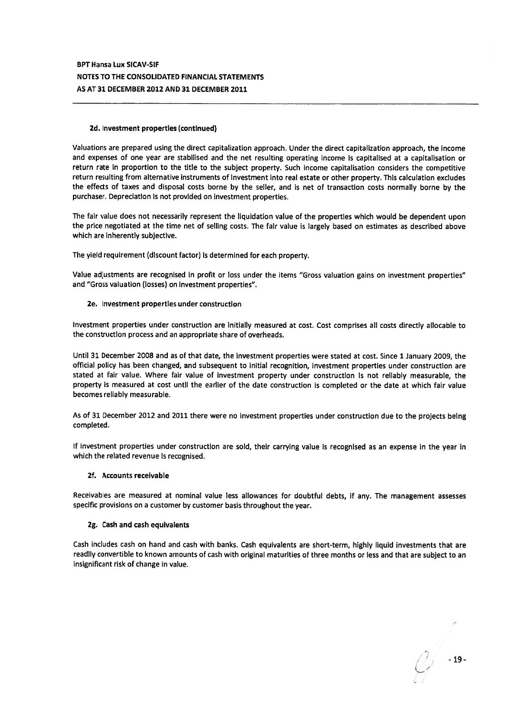## 2d. Investment properties (continued)

Valuations are prepare<sup>d</sup> using the direct capitalization approach. Under the direct capitalization approach, the income and expenses of one year are stabilised and the net resulting operating income is capitalised at <sup>a</sup> capitalisation or return rate in proportion to the title to the subject property. Such income capitalisation considers the competitive return resulting from alternative instruments of investment into real estate or other property. This calculation excludes the effects of taxes and disposal costs borne by the seller, and is net of transaction costs normally borne by the purchaser. Depreciation is not provided on investment properties.

The fair value does not necessarily represen<sup>t</sup> the liquidation value of the properties which would be dependent upon the price negotiated at the time net of selling costs. The fair value is largely based on estimates as described above which are inherently subjective.

The yield requirement (discount factor) is determined for each property.

Value adjustments are recognised in profit or loss under the items "Gross valuation gains on investment properties" and "Gross valuation (losses) on investment properties".

## 2e. Investment properties under construction

Investment properties under construction are initially measured at cost. Cost comprises all costs directly allocable to the construction process and an appropriate share of overheads.

Until <sup>31</sup> December <sup>2008</sup> and as of that date, the investment properties were stated at cost. Since <sup>1</sup> January 2009, the official policy has been changed, and subsequent to initial recognition, investment properties under construction are stated at fair value. Where fair value of investment property under construction is not reliably measurable, the property is measured at cost until the earlier of the date construction is completed or the date at which fair value becomes reliably measurable.

As of <sup>31</sup> December <sup>2012</sup> and <sup>2011</sup> there were no investment properties under construction due to the projects being completed.

If investment properties under construction are sold, their carrying value is recognised as an expense in the year in which the related revenue Is recognised.

### 2f. Accounts receivable

Receivables are measured at nominal value less allowances for doubtful debts, if any. The managemen<sup>t</sup> assesses specific provisions on <sup>a</sup> customer by customer basis throughout the year.

### 2g. Cash and cash equivalents

Cash includes cash on hand and cash with banks. Cash equivalents are short-term, highly liquid investments that are readily convertible to known amounts of cash with original maturities of three months or less and that are subject to an insignificant risk of change in value.

- 19 -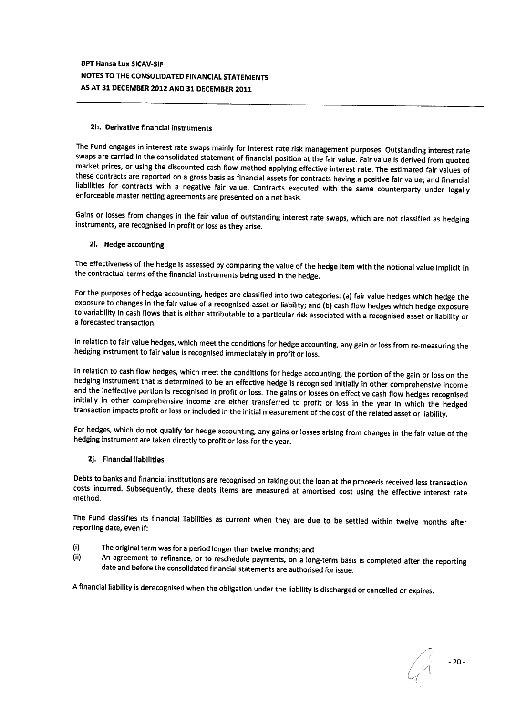## 2h. Derivative financial instruments

The Fund engages in interest rate swaps mainly for interest rate risk management purposes. Outstanding interest rate market prices, or using the discounted cash flow method applying effective interest rate. The estimated fair values of these contracts are reported on a gross basis as financial assets for contracts having a positive fair

Gains or losses from changes in the fair value of outstanding interest rate swaps, which are not classified as hedging instruments, are recognised in profit or loss as they arise.

## 2i. Hedge accounting

The effectiveness of the hedge is assessed by comparing the value of the hedge item with the notional value implicit in the contractual terms of the financial instruments being used in the hedge.

For the purposes of hedge accounting, hedges are classified into two categories: (a) fair value hedges which hedge the exposure to changes in the falr value of a recognised asset or liability; and (b) cash flow hedges whic

In relation to fair value hedges, which meet the conditions for hedge accounting, any gain or loss from re-measuring the hedging instrument to fair value is recognised immediately in profit or loss.

In relation to cash flow hedges, which meet the conditions for hedge accounting, the portion of the gain or loss on the hedging instrument that is determined to be an effective hedge is recognised initially in other compre

For hedges, which do not qualify for hedge accounting, any gains or losses arising from changes in the fair value of the hedging instrument are taken directly to profit or loss for the year.

2J. Financial liabilities

Debts to banks and financial institutions are recognised on taking out the loan at the proceeds received less transaction costs incurred. Subsequently, these debts items are measured at amortised cost using the effective interest rate method.

The Fund classifies its financial liabilities as current when they are due to be settled within twelve months after reporting date, even if:

- (i) The original term was for <sup>a</sup> period longer than twelve months; and
- (ii) An agreement to refinance, or to reschedule payments, on a long-term basis is completed after the reporting<br>date and before the consolidated financial statements are authorised for issue.

<sup>A</sup> financial liability is derecognised when the obligation under the liability is discharged or cancelled or expires.

 $-20-$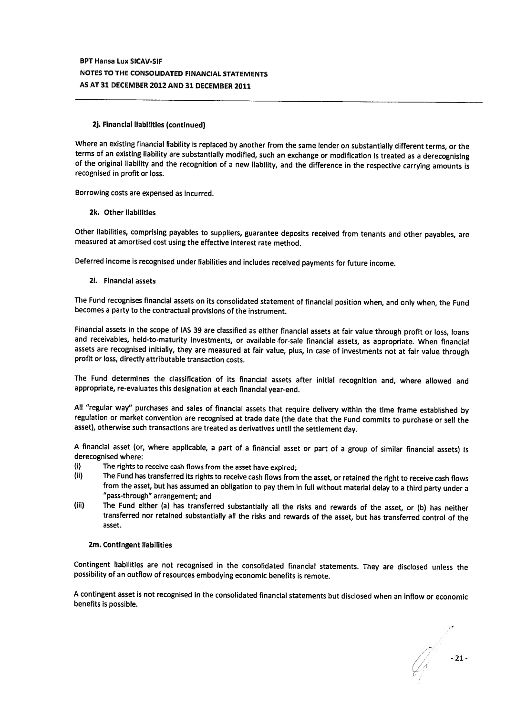## 2j. Financial liabilities (continued)

Where an existing financial liability is replaced by another from the same lender on substantially different terms, or the terms of an existing liability are substantially modified, such an exchange or modification is trea of the original liability and the recognition of a new liability, and the difference in the respective carrying amounts is recognised in profit or loss.

Borrowing costs are expensed as incurred.

### 2k. Other liabilities

Other liabilities, comprising payables to suppliers, guarantee deposits received from tenants and other payables, are measured at amortised cost using the effective interest rate method.

Deferred income is recognised under liabilities and includes received payments for future income.

## 21. Financial assets

The Fund recognises financial assets on its consolidated statement of financial position when, and only when, the Fund becomes <sup>a</sup> party to the contractual provisions of the instrument.

Financial assets in the scope of lAS <sup>39</sup> are classified as either financial assets at fair value through profit or loss, loans and receivables, held-to-maturity investments, or available-for-sale financial assets, as appropriate. When financial assets are recognised initially, they are measured at fair value, plus, in case of investments not at fair value through profit or loss, directly attributable transaction costs.

The Fund determines the classification of its financial assets after initial recognition and, where allowed and appropriate, re-evaluates this designation at each financial year-end.

All "regular way" purchases and sales of financial assets that require delivery within the time frame established by regulation or market convention are recognised at trade date (the date that the Fund commits to purchase or sell the asset), otherwise such transactions are treated as derivatives until the settlement day.

<sup>A</sup> financial asset (or, where applicable, <sup>a</sup> part of <sup>a</sup> financial asset or part of <sup>a</sup> group of similar financial assets) is derecognised where:

- (i) The rights to receive cash flows from the asset have expired;
- (ii) The Fund has transferred its rights to receive cash flows from the asset, or retained the right to receive cash flows from the asset, but has assumed an obligation to pay them in full without material delay to <sup>a</sup> third party under <sup>a</sup> "pass-through" arrangement; and
- (iii) The Fund either (a) has transferred substantially all the risks and rewards of the asset, or (b) has neither transferred nor retained substantially all the risks and rewards of the asset, but has transferred control of the asset.

### 2m. Contingent liabilities

Contingent liabilities are not recognised in the consolidated financial statements. They are disclosed unless the possibility of an outflow of resources embodying economic benefits is remote.

<sup>A</sup> contingent asset is not recognised in the consolidated financial statements but disclosed when an inflow or economic benefits is possible.

 $\mathbb{Z}$  -21-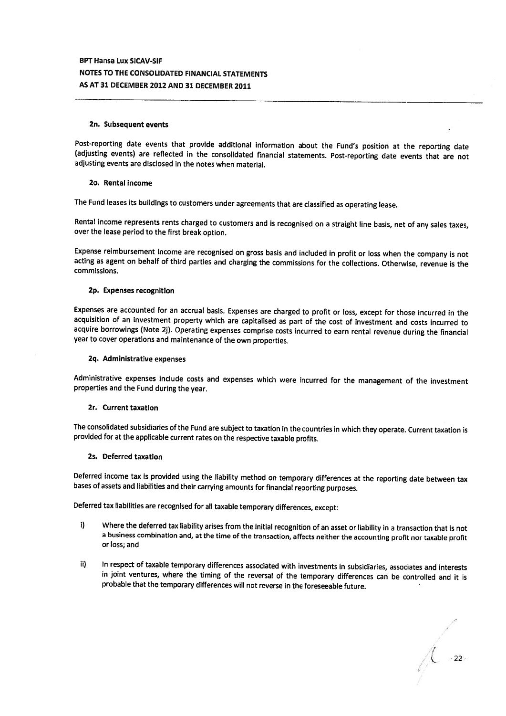### Zn. Subsequent events

Post-reporting date events that provide additional information about the Fund's position at the reporting date (adjusting events) are reflected in the consolidated financial statements. Post-reporting date events that are

#### 20. Rental income

The Fund leases its buildings to customers under agreements that are classified as operating lease.

Rental income represents rents charged to customers and is recognised on <sup>a</sup> straight line basis, net of any sales taxes, over the lease period to the first break option.

Expense reimbursement income are recognised on gross basis and included in profit or loss when the company is not<br>acting as agent on behalf of third parties and charging the commissions for the collections. Otherwise, reve commissions.

#### 2p, Expenses recognition

Expenses are accounted for an accrual basis. Expenses are charged to profit or loss, except for those incurred in the acquisition of an investment property which are capitalised as part of the cost of investment and costs incurred to acquire borrowings (Note 2j). Operating expenses comprise costs incurred to earn rental revenue during the financial year to cover operations and maintenance of the own properties.

### 2q. Administrative expenses

Administrative expenses include costs and expenses which were incurred for the management of the investment properties and the Fund during the year.

#### 2r. Current taxation

The consolidated subsidiaries of the Fund are subject to taxation in the countries in which they operate. Current taxation is provided for at the applicable current rates on the respective taxable profits.

## 2s. Deferred taxation

Deferred income tax is provided using the liability method on temporary differences at the reporting date between tax bases of assets and liabilities and their carrying amounts for financial reporting purposes.

Deferred tax liabilities are recognised for all taxable temporary differences, except:

- i) Where the deferred tax liability arises from the initial recognition of an asset or liability in <sup>a</sup> transaction that is not <sup>a</sup> business combination and, at the time of the transaction, affects neither the accounting profit nor taxable profit or loss; and
- ii) In respect of taxable temporary differences associated with investments in subsidiaries, associates and interests in joint ventures, where the timing of the reversal of the temporary differences can be controlled and it is probable that the temporary differences will not reverse in the foreseeable future.

 $\overline{\left\langle \begin{array}{c} 22 \end{array} \right\rangle}$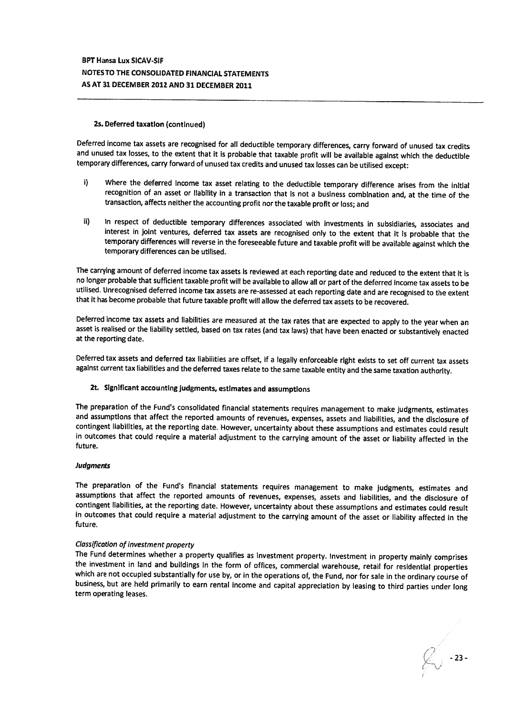### 2s. Deferred taxation (continued)

Deferred income tax assets are recognised for all deductible temporary differences, carry forward of unused tax credits and unused tax losses, to the extent that it is probable that taxable profit will be available against which the deductible temporary differences, carry forward of unused tax credits and unused tax losses can be utilised except;

- i) Where the deferred income tax asset relating to the deductible temporary difference arises from the initial recognition of an asset or liability in <sup>a</sup> transaction that is not <sup>a</sup> business combination and, at the time of the transaction, affects neither the accounting profit nor the taxable profit or toss; and
- ii) In respect of deductible temporary differences associated with investments in subsidiaries, associates and interest in joint ventures, deferred tax assets are recognised only to the extent that it is probable that the temporary differences will reverse in the foreseeable future and taxable profit will be available against which the temporary differences can be utilised.

The carrying amount of deferred income tax assets is reviewed at each reporting date and reduced to the extent that It is no longer probable that sufficient taxable profit will be available to allow all or part of the deferred income tax assets to be utilised. Unrecognised deferred income tax assets are re-assessed at each reporting date and are recognised to the extent<br>that it has become probable that future taxable profit will allow the deferred tax assets to be reco

Deferred income tax assets and liabilities are measured at the tax rates that are expected to apply to the year when an asset is realised or the liability settled, based on tax rates (and tax laws) that have been enacted or substantively enacted at the reporting date.

Deferred tax assets and deferred tax liabilities are offset, if <sup>a</sup> legally enforceable right exists to set off current tax assets against current tax liabilities and the deferred taxes relate to the same taxable entity and the same taxation authority.

2t. Significant accounting judgments, estimates and assumptions

The preparation of the Fund's consolidated financial statements requires management to make judgments, estimates<br>and assumptions that affect the reported amounts of revenues, expenses, assets and liabilities, and the discl contingent liabilities, at the reporting date. However, uncertainty about these assumptions and estimates could result in outcomes that could require <sup>a</sup> material adjustment to the carrying amount of the asset or liability affected in the future.

#### Judgments

The preparation of the Fund's financial statements requires management to make judgments, estimates and assumptions that affect the reported amounts of revenues, expenses, assets and liabilities, and the disciosure of contingent liabilities, at the reporting date. However, uncertainty about these assumptions and estimates could result in outcomes that could require <sup>a</sup> material adjustment to the carrying amount of the asset or liability affected in the future.

#### Classification of investment property

The Fund determines whether a property qualifies as investment property. Investment in property mainly comprises the investment in land and buildings in the form of offices, commercial warehouse, retail for residential pro

 $\&$  -23 -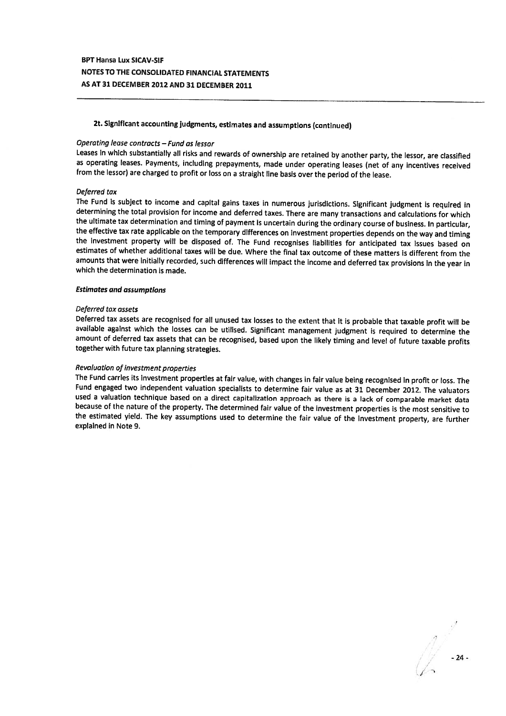# 2t. Significant accounting judgments, estimates and assumptions (continued)

## Operating lease contracts — Fund as lessor

Leases in which substantially all risks and rewards of ownership are retained by another party, the lessor, are classified as operating leases. Payments, including prepayments, made under operating leases (net of any incentives received<br>from the lessor) are charged to profit or loss on a straight line basis over the period of the lease.

#### Deferred tax

The Fund is subject to income and capital gains taxes in numerous jurisdictions. Significant judgment is required in determining the total provision for income and deferred taxes. There are many transactions and calculatio the effective tax rate applicable on the temporary differences on investment properties depends on the way and timing<br>the investment property will be disposed of. The Fund recognises liabilities for anticipated tax issues amounts that were initially recorded, such differences will impact the income and deferred tax provisions in the year in which the determination is made.

#### Estimates and assumptions

#### Deferred tax assets

Deferred tax assets are recognised for all unused tax losses to the extent that it is probable that taxable profit will be available against which the losses can be utilised. Significant management judgment is required to amount of deferred tax assets that can be recognised, based upon the likely timing and level of future taxable profits together with future tax planning strategies.

## Revaluation of investment properties

The Fund carries its investment properties at fair value, with changes in fair value being recognised in profit or loss. The Fund engaged two independent valuation specialists to determine fair value as at 31 December 2012 because of the nature of the property. The determined fair value of the investment properties is the most sensitive to<br>the estimated yield. The key assumptions used to determine the fair value of the investment property, a explained in Note 9.

24 -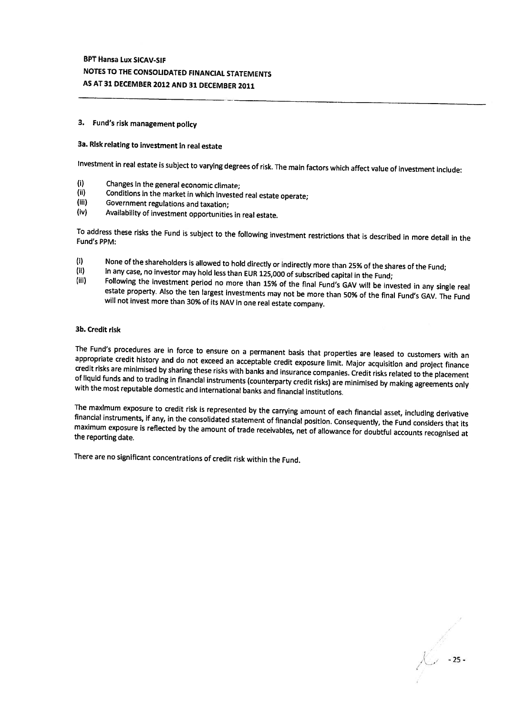## 3. Fund's risk management policy

## 3a. Risk relating to investment in real estate

Investment in real estate is subject to varying degrees of risk. The main factors which affect value of investment include:

- (i) Changes In the general economic climate;<br>(ii) Conditions in the market in which invested
- (ii) Conditions in the market in which invested real estate operate;<br>(iii) Government regulations and taxation;<br>(iv) Availability of investment opportunities in real estate
- 
- Availability of investment opportunities in real estate.

To address these risks the Fund is subject to the following investment restrictions that is described in more detail in the Fund's PPM:

- 
- 
- (i) None of the shareholders is allowed to hold directly or indirectly more than 25% of the shares of the Fund;<br>
in any case, no investor may hold less than EUR 125,000 of subscribed capital in the Fund;<br>
Following the inv

### 3b. Credit risk

The Fund's procedures are in force to ensure on a permanent basis that properties are leased to customers with an appropriate credit history and do not exceed an acceptable credit exposure limit. Major acquisition and proj

The maximum exposure to credit risk is represented by the carrying amount of each financial asset, including derivative financial instruments, if any, in the consolidated statement of financial position. Consequently, the

There are no significant concentrations of credit risk within the Fund.

-25-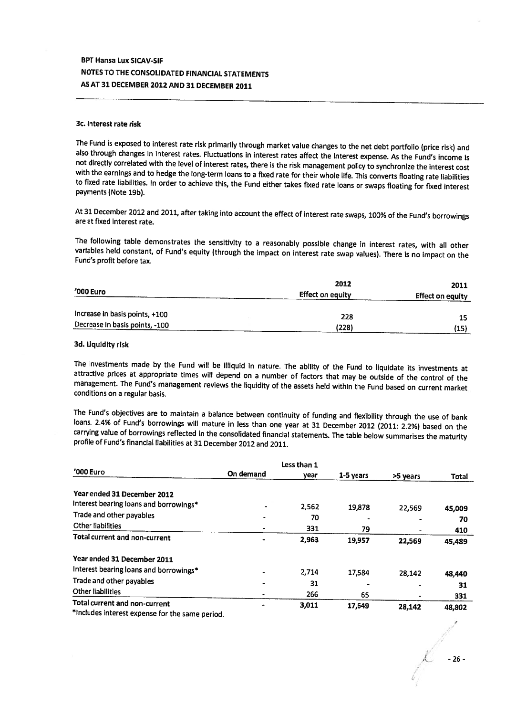#### 3c. Interest rate risk

The Fund is exposed to interest rate risk primarily through market value changes to the net debt portfolio (price risk) and also through changes in interest rates. Fluctuations in interest rates affect the Interest expense with the earnings and to hedge the long-term loans to a fixed rate for their whole life. This converts floating rate liabilities to fixed rate liabilities. In order to achieve this, the Fund either takes fixed rate loans o

At <sup>31</sup> December <sup>2012</sup> and 2011, after taking into account the effect of interest rate swaps, 100% of the Fund's borrowings are at fixed interest rate.

The following table demonstrates the sensitivity to a reasonably possible change in interest rates, with all other variables held constant, of Fund's equity (through the impact on interest rate swap values). There is no im

| '000 Euro                      | 2012<br>Effect on equity | 2011<br>Effect on equity |
|--------------------------------|--------------------------|--------------------------|
| Increase in basis points, +100 | 228                      | 15                       |
| Decrease in basis points, -100 | (228)                    | (15)                     |

### 3d. Liquidity risk

The investments made by the Fund will be illiquid in nature. The ability of the Fund to liquidate its investments at attractive prices at appropriate times will depend on a number of factors that may be outside of the cont management. The Fund's management reviews the liquidity of the assets held within the Fund based on current market conditions on <sup>a</sup> regular basis.

The Fund's objectives are to maintain a balance between continuity of funding and flexibility through the use of bank<br>loans. 2.4% of Fund's borrowings will mature in less than one year at 31 December 2012 (2011: 2.2%) base carrying value of borrowings reflected in the consolidated financial statements. The table below summarises the maturity profile of Fund's financial liabilities at 31 December 2012 and 2011.

|                                                                                                  |           | Less than 1 |           |          |        |
|--------------------------------------------------------------------------------------------------|-----------|-------------|-----------|----------|--------|
| '000 Euro                                                                                        | On demand | year        | 1-5 years | >5 years | Total  |
| Year ended 31 December 2012                                                                      |           |             |           |          |        |
| Interest bearing loans and borrowings*                                                           |           | 2,562       | 19,878    | 22,569   | 45,009 |
| Trade and other payables                                                                         |           | 70          |           | -        | 70     |
| Other liabilities                                                                                |           | 331         | 79        |          | 410    |
| Total current and non-current                                                                    |           | 2,963       | 19.957    | 22,569   | 45,489 |
| Year ended 31 December 2011                                                                      |           |             |           |          |        |
| Interest bearing loans and borrowings*                                                           |           | 2,714       | 17,584    | 28,142   | 48,440 |
| Trade and other payables                                                                         |           | 31          |           |          | 31     |
| <b>Other liabilities</b>                                                                         |           | 266         | 65        |          | 331    |
| Total current and non-current<br>*includes interact evanges for the same $\epsilon$ , $\epsilon$ |           | 3,011       | 17,649    | 28,142   | 48,802 |

Includes interest expense for the same period.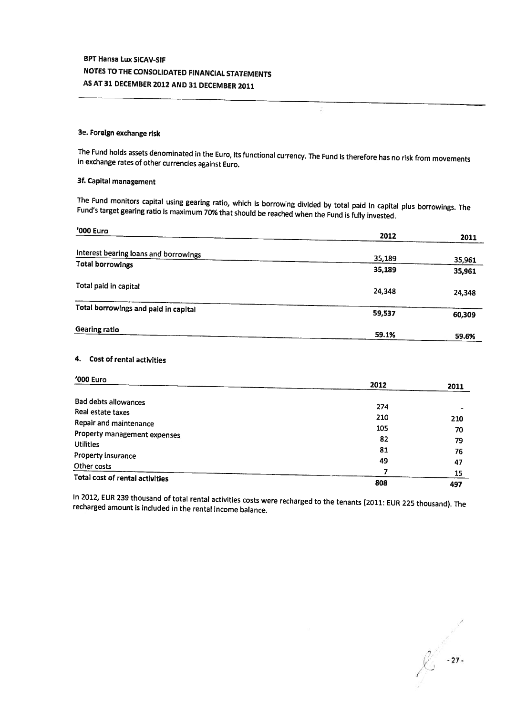## 3e. Foreign exchange risk

The Fund holds assets denominated in the Euro, its functional currency. The Fund is therefore has no risk from movements in exchange rates of other currencies against Euro.

ğ.

## 3f. Capital management

The Fund monitors capital using gearing ratio, which is borrowing divided by total paid in capital <sup>p</sup>lus borrowings. The Fund's target gearing ratio is maximum 70% that should be reached when the Fund is fully invested.

| $'000$ Euro                           |        |                  |
|---------------------------------------|--------|------------------|
|                                       | 2012   | 2011             |
| Interest bearing loans and borrowings | 35,189 |                  |
| <b>Total borrowings</b>               | 35,189 | 35,961<br>35,961 |
| Total paid in capital                 | 24,348 | 24,348           |
| Total borrowings and paid in capital  | 59,537 | 60,309           |
| <b>Gearing ratio</b>                  | 59.1%  | 59.6%            |

## 4. Cost of rental activities

| '000 Euro                              |      |      |
|----------------------------------------|------|------|
|                                        | 2012 | 2011 |
| Bad debts allowances                   |      |      |
| Real estate taxes                      | 274  |      |
| Repair and maintenance                 | 210  | 210  |
|                                        | 105  | 70   |
| Property management expenses           | 82   | 79   |
| <b>Utilities</b>                       | 81   |      |
| Property insurance                     |      | 76   |
| Other costs                            | 49   | 47   |
|                                        |      | 15   |
| <b>Total cost of rental activities</b> | 808  | 497  |

In 2012, EUR <sup>239</sup> thousand of total rental activities costs were recharged to the tenants (2011: EUR <sup>225</sup> thousand). The recharged amount is included in the rental income balance.

 $6 - 27$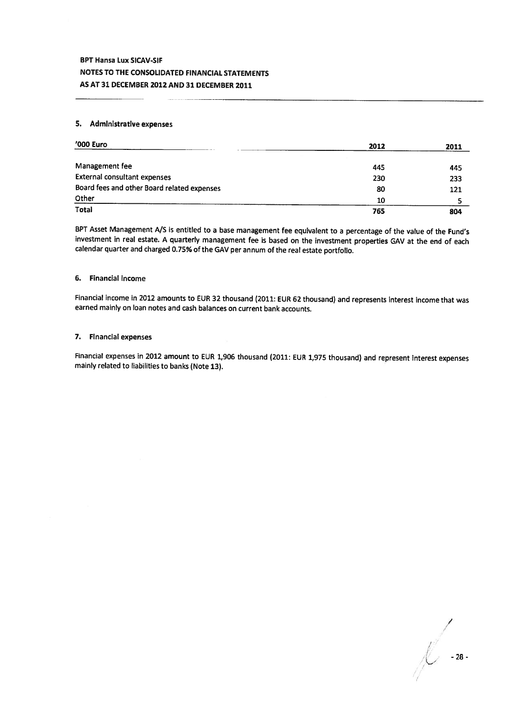## 5. Administrative expenses

| '000 Euro                                   | 2012 | 2011 |
|---------------------------------------------|------|------|
| Management fee                              | 445  | 445  |
| <b>External consultant expenses</b>         | 230  | 233  |
| Board fees and other Board related expenses | 80   | 121  |
| Other                                       | 10   |      |
| <b>Total</b>                                | 765  | 804  |

BPT Asset Management A/s is entitled to <sup>a</sup> base management fee equivalent to <sup>a</sup> percentage of the value of the Fund's investment in real estate. <sup>A</sup> quarterly management fee is based on the investment properties GAV at the end of each calendar quarter and charged 0.75% of the GAV per annum of the real estate portfolio.

## 6. Financial income

Financial income in <sup>2012</sup> amounts to EUR <sup>32</sup> thousand (2011: EUR <sup>62</sup> thousand) and represents interest income that was earned mainly on loan notes and cash balances on current bank accounts..

## 7. Financial expenses

Financial expenses in <sup>2012</sup> amount to EUR 1,906 thousand (2011: EUR 1,975 thousand) and represent interest expenses mainly related to liabilities to banks (Note 13).

/ -28-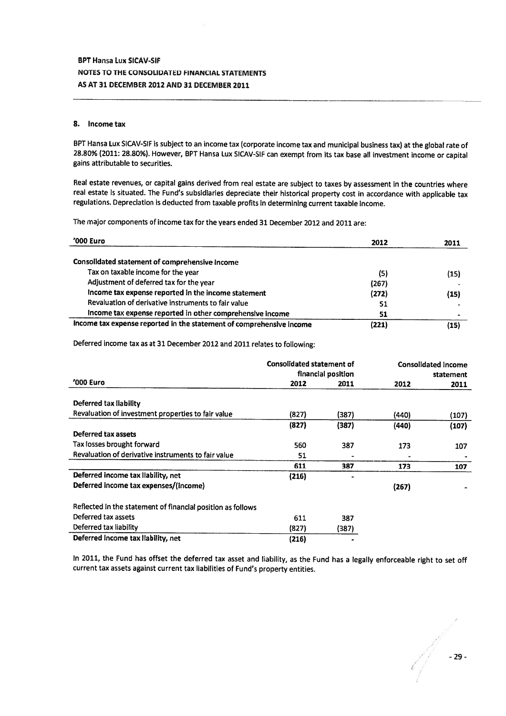#### 8. Income tax

BPT Hansa Lux SICAV-SIF is subject to an income tax (corporate income tax and municipal business tax) at the <sup>g</sup>lobal rate of 28.80% (2011: 28.80%). However, BPT Hansa Lux SICAV-SIF can exempt from its tax base all investment income or capital gains attributable to securities.

Real estate revenues, or capital gains derived from real estate are subject to taxes by assessment in the countries where real estate is situated. The Fund's subsidiaries depreciate their historical property cost in accordance with applicable tax regulations. Depreciation is deducted from taxable profits in determining current taxable income.

The major components of income tax for the years ended 31 December 2012 and 2011 are:

| '000 Euro                                                            | 2012  | 2011 |
|----------------------------------------------------------------------|-------|------|
| Consolidated statement of comprehensive Income                       |       |      |
| Tax on taxable income for the year                                   | (5)   | (15) |
| Adjustment of deferred tax for the year                              | (267) |      |
| Income tax expense reported in the income statement                  | (272) | (15) |
| Revaluation of derivative instruments to fair value                  | 51    |      |
| Income tax expense reported in other comprehensive income            | 51    |      |
| income tax expense reported in the statement of comprehensive income | (221) | (15) |

Deferred income tax as at <sup>31</sup> December <sup>2012</sup> and <sup>2011</sup> relates to following:

|                                                             |       | <b>Consolidated statement of</b><br>financial position |       | <b>Consolidated income</b><br>statement |  |
|-------------------------------------------------------------|-------|--------------------------------------------------------|-------|-----------------------------------------|--|
| '000 Euro                                                   | 2012  | 2011                                                   | 2012  | 2011                                    |  |
| Deferred tax liability                                      |       |                                                        |       |                                         |  |
| Revaluation of investment properties to fair value          | (827) | (387)                                                  | (440) | (107)                                   |  |
|                                                             | (827) | (387)                                                  | (440) | (107)                                   |  |
| Deferred tax assets                                         |       |                                                        |       |                                         |  |
| Tax losses brought forward                                  | 560   | 387                                                    | 173   | 107                                     |  |
| Revaluation of derivative instruments to fair value         | 51    |                                                        |       |                                         |  |
|                                                             | 611   | 387                                                    | 173   | 107                                     |  |
| Deferred income tax llability, net                          | (216) |                                                        |       |                                         |  |
| Deferred income tax expenses/(income)                       |       |                                                        | (267) |                                         |  |
| Reflected in the statement of financial position as follows |       |                                                        |       |                                         |  |
| Deferred tax assets                                         | 611   | 387                                                    |       |                                         |  |
| Deferred tax liability                                      | (827) | (387)                                                  |       |                                         |  |
| Deferred Income tax Ilability, net                          | (216) |                                                        |       |                                         |  |

In 2011, the Fund has offset the deferred tax asset and liability, as the Fund has <sup>a</sup> legally enforceable right to set off current tax assets against current tax liabilities of Fund's property entities.

(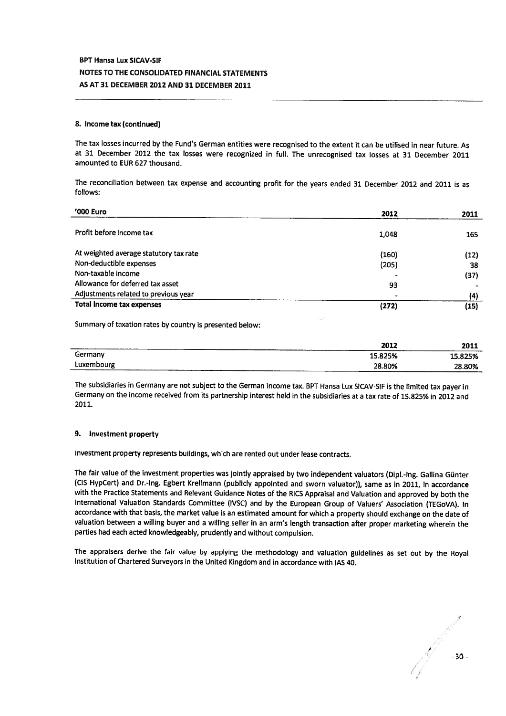### 8. Income tax (continued)

The tax losses incurred by the Fund's German entities were recognised to the extent it can be utilised in near future. As at <sup>31</sup> December <sup>2012</sup> the tax losses were recognized in full, The unrecognised tax losses at <sup>31</sup> December <sup>2011</sup> amounted to EUR 627 thousand.

The reconciliation between tax expense and accounting profit for the years ended <sup>31</sup> December <sup>2012</sup> and <sup>2011</sup> is as follows:

| '000 Euro                              | 2012  | 2011 |
|----------------------------------------|-------|------|
| Profit before income tax               | 1,048 | 165  |
|                                        |       |      |
| At weighted average statutory tax rate | (160) | (12) |
| Non-deductible expenses                | (205) | 38   |
| Non-taxable income                     |       | (37) |
| Allowance for deferred tax asset       | 93    |      |
| Adjustments related to previous year   |       | (4)  |
| <b>Total income tax expenses</b>       | (272) | (15) |

Summary of taxation rates by country is presented below:

|            | 2012                   | 2011    |
|------------|------------------------|---------|
| Germany    | 15.825%                | 15.825% |
| Luxembourg | 28.80%<br>----<br>____ | 28.80%  |

The subsidiaries in Germany are not subject to the German income tax. BPT Hansa Lux SICAV-SIF is the limited tax payer in Germany on the income received from its partnership interest held in the subsidiaries at <sup>a</sup> tax rate of 15.825% in 2012 and 2011.

#### 9. Investment property

Investment property represents buildings, which are rented out under lease contracts.

The fair value of the investment properties was jointly appraised by two independent valuators (Dipl.-lng. Galliria Günter (CIS HypCert) and Dr.-Ing. Egbert Krellmann (publicly appointed and sworn valuator)), same as in 2011, in accordance with the Practice Statements and Relevant Guidance Notes of the RICS Appraisal and Valuation and approve<sup>d</sup> by both the International Valuation Standards Committee (IVSC) and by the European Group of Valuers' Association (TEG0VA). In accordance with that basis, the market value is an estimated amount for which <sup>a</sup> property should exchange on the date of valuation between <sup>a</sup> willing buyer and <sup>a</sup> willing seller in an arm's length transaction after proper marketing wherein the parties had each acted knowledgeably, prudently and without compulsion.

The appraisers derive the fair value by applying the methodology and valuation guidelines as set out by the Royal Institution of Chartered Surveyors in the United Kingdom and in accordance with lAS 40.

-30-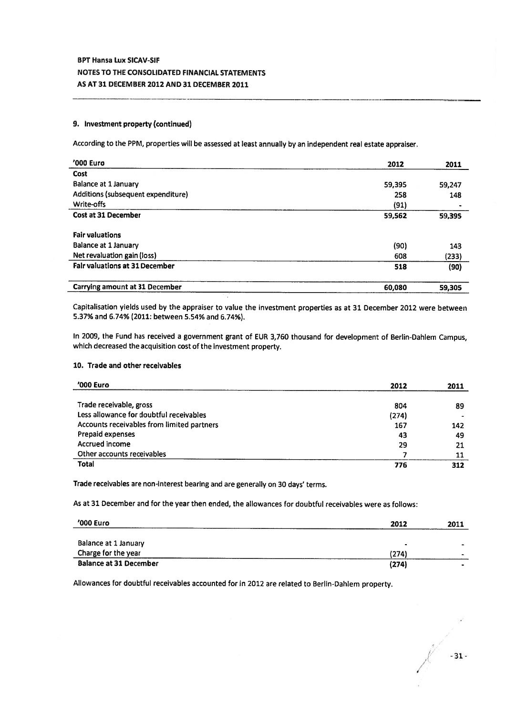### 9. Investment property (continued)

According to the PPM, properties will be assessed at least annually by an independent real estate appraiser.

| '000 Euro                             | 2012   | 2011   |
|---------------------------------------|--------|--------|
| <b>Cost</b>                           |        |        |
| Balance at 1 January                  | 59,395 | 59,247 |
| Additions (subsequent expenditure)    | 258    | 148    |
| Write-offs                            | (91)   |        |
| <b>Cost at 31 December</b>            | 59,562 | 59,395 |
| <b>Fair valuations</b>                |        |        |
| <b>Balance at 1 January</b>           | (90)   | 143    |
| Net revaluation gain (loss)           | 608    | (233)  |
| <b>Fair valuations at 31 December</b> | 518    | (90)   |
| Carrying amount at 31 December        | 60,080 | 59,305 |

Capitalisation <sup>y</sup>ields used by the appraiser to value the investment properties as at <sup>31</sup> December <sup>2012</sup> were between 5.37% and 6.74% (2011: between 5.54% and 6.74%).

In 2009, the Fund has received <sup>a</sup> governmen<sup>t</sup> gran<sup>t</sup> of EUR 3,760 thousand for development of Berlin-Dahlem Campus, which decreased the acquisition cost of the investment property.

### 10. Trade and other receivables

| '000 Euro                                  | 2012  | 2011 |
|--------------------------------------------|-------|------|
|                                            |       |      |
| Trade receivable, gross                    | 804   | 89   |
| Less allowance for doubtful receivables    | (274) |      |
| Accounts receivables from limited partners | 167   | 142  |
| Prepaid expenses                           | 43    | 49   |
| <b>Accrued income</b>                      | 29    | 21   |
| Other accounts receivables                 |       | 11   |
| <b>Total</b>                               | 776   | 312  |

Trade receivables are non-interest bearing and are generally on <sup>30</sup> days' terms.

As at 31 December and for the year then ended, the allowances for doubtful receivables were as follows:

| '000 Euro                     | 2012  | 2011 |
|-------------------------------|-------|------|
| Balance at 1 January          |       |      |
| Charge for the year           | (274) | -    |
| <b>Balance at 31 December</b> | (274) |      |

Allowances for doubtful receivables accounted for in <sup>2012</sup> are related to Berlin-Dahiem property.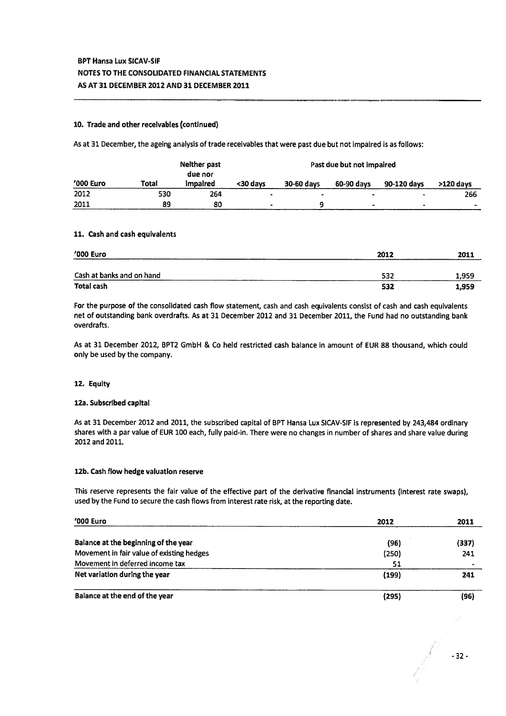## 10. Trade and other receivables (continued)

As at 31 December, the ageing analysis of trade receivables that were pas<sup>t</sup> due but not impaired is as follows:

|           |       | Neither past<br>due nor | Past due but not impaired |                          |            |                |             |
|-----------|-------|-------------------------|---------------------------|--------------------------|------------|----------------|-------------|
| '000 Euro | Total | impaired                | <30 days                  | 30-60 days               | 60-90 days | 90-120 days    | $>120$ days |
| 2012      | 530   | 264                     | $\overline{\phantom{a}}$  | $\overline{\phantom{0}}$ | $\bullet$  | $\sim$         | 266         |
| 2011      | 89    | 80                      | $\bullet$                 |                          | ۰          | $\blacksquare$ |             |

### 11. Cash and cash equivalents

| '000 Euro                 | 2012 | 2011  |
|---------------------------|------|-------|
| Cash at banks and on hand | 532  | 1,959 |
| Total cash                | 532  | 1,959 |

For the purpose of the consolidated cash flow statement, cash and cash equivalents consist of cash and cash equivalents net of outstanding bank overdrafts As at 31 December 2012 and 31 December 2011, the Fund had no outstanding bank overdrafts.

As at 31 December 2012, BPT2 GmbH & Co held restricted cash balance in amount of EUR 88 thousand, which could only be used by the company.

### 12. Equity

### 12a. Subscribed capital

As at 31 December 2012 and 2011, the subscribed capital of BPT Hansa Lux SICAV-SIF is represented by 243,484 ordinary shares with <sup>a</sup> par value of EUR 100 each, fully paid-in. There were no changes in number of shares and share value during 2012 and 2011.

### 12b. Cash flow hedge valuation reserve

This reserve represents the fair value of the effective par<sup>t</sup> of the derivative financial instruments (interest rate swaps), used by the fund to secure the cash flows from interest rate risk, at the reporting date.

| '000 Euro                                 | 2012  | 2011  |
|-------------------------------------------|-------|-------|
| Balance at the beginning of the year.     | (96)  | (337) |
| Movement in fair value of existing hedges | (250) | 241   |
| Movement in deferred income tax           | 51    |       |
| Net variation during the year             | (199) | 241   |
| Balance at the end of the year            | (295) | (96)  |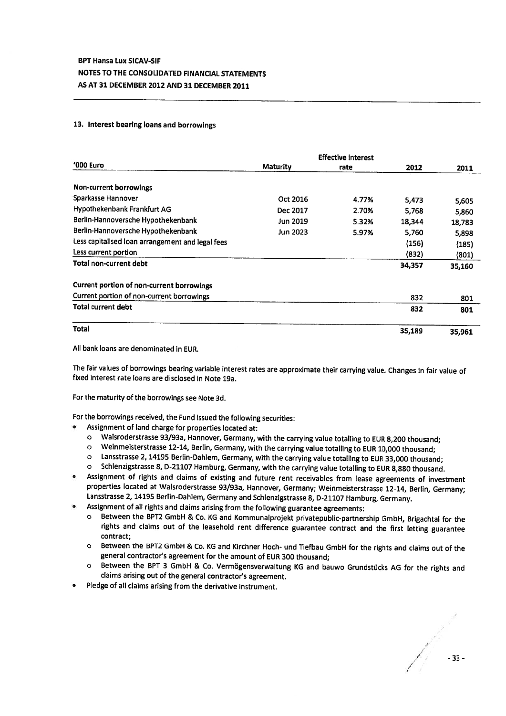## 13. Interest bearing loans and borrowings

|                                                  |                 | <b>Effective interest</b> |        |        |
|--------------------------------------------------|-----------------|---------------------------|--------|--------|
| '000 Euro                                        | <b>Maturity</b> | rate                      | 2012   | 2011   |
| Non-current borrowings                           |                 |                           |        |        |
| Sparkasse Hannover                               | Oct 2016        | 4.77%                     | 5,473  | 5,605  |
| Hypothekenbank Frankfurt AG                      | Dec 2017        | 2.70%                     | 5,768  | 5,860  |
| Berlin-Hannoversche Hypothekenbank               | <b>Jun 2019</b> | 5.32%                     | 18,344 | 18,783 |
| Berlin-Hannoversche Hypothekenbank               | <b>Jun 2023</b> | 5.97%                     | 5,760  | 5,898  |
| Less capitalised loan arrangement and legal fees |                 |                           | (156)  | (185)  |
| Less current portion                             |                 |                           | (832)  | (801)  |
| Total non-current debt                           |                 |                           | 34,357 | 35,160 |
| Current portion of non-current borrowings        |                 |                           |        |        |
| Current portion of non-current borrowings        |                 |                           | 832    | 801    |
| Total current debt                               |                 |                           | 832    | 801    |
| <b>Total</b>                                     |                 |                           | 35,189 | 35,961 |

All bank loans are denominated in EUR.

•

The fair values of borrowings bearing variable interest rates are approximate their carrying value. Changes in fair value of fixed interest rate loans are disclosed in Note 19a.

For the maturity of the borrowings see Note 3d.

For the borrowings received, the Fund issued the following securities:

- Assignment of land charge for properties located at:
	- <sup>o</sup> Walsroderstrasse 93/93a, Hannover, Germany, with the carrying value totalling to EUR 8,200 thousand;
	- <sup>o</sup> Weinrnelsterstrasse 12-14, Berlin, Germany, with the carrying value totalling to EUR 10,000 thousand;
	- o Lansstrasse 2, 14195 Berlin-Dahlem, Germany, with the carrying value totalling to EUR 33,000 thousand;<br>O Schlenzigstrasse 8, D-21107 Hamburg, Germany, with the carrying value totalling to EUR 8.880 thousand
	- Schlenzigstrasse 8, D-21107 Hamburg, Germany, with the carrying value totalling to EUR 8,880 thousand.
- • Assignment of rights and claims of existing and future rent receivables from lease agreements of investment properties located at Walsroderstrasse 93/93a, Hannover, Germany; Weinmeisterstrasse 12-14, Berlin, Germany; Lansstrasse 2, <sup>14195</sup> Berlin-Dahlem, Germany and Schlenzigstrasse 8, 0-21107 Hamburg, Germany.
- •
- Assignment of all rights and claims arising from the following guarantee agreements:<br>
o Between the BPT2 GmbH & Co. KG and Kommunalprojekt privatepublic-partnership GmbH, Brigachtal for the <sup>o</sup> Between the BPT2 GmbH & Co. KG and Kommunalprojekt privatepublic-partnership GmbH, Brigachtal for the rights and claims out of the leasehold rent difference guarantee contract and the first letting guarantee contract;
	- <sup>o</sup> Between the BPT2 GmbH & Co. KG and Kirchner Hoch- und Tiefbau GmbH for the rights and claims out of the general contractor's agreement for the amount of EUR 300 thousand;
	- <sup>o</sup> Between the BPT <sup>3</sup> GmbH & Co. Vermogensverwaltung KG and bauwo Grundstücks AG for the rights and claims arising out of the general contractor's agreement.
- •Pledge of all claims arising from the derivative instrument.

/ / -33- /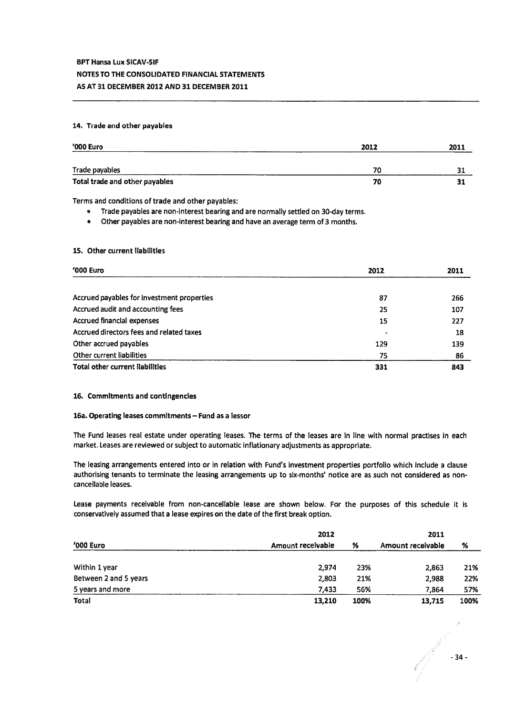## 14. Trade and other payables

| '000 Euro                      | 2012 | 2011 |
|--------------------------------|------|------|
| Trade payables                 | 70   | 31   |
| Total trade and other payables | 70   | 31   |

Terms and conditions of trade and other payables:

. Trade payables are non-Interest bearing and are normally settled on 30-day terms.

. Other payables are non-interest bearing and have an average term of 3 months.

## 15. Other current liabilities

| '000 Euro                                  | 2012 |     | 2011 |  |
|--------------------------------------------|------|-----|------|--|
|                                            |      |     |      |  |
| Accrued payables for investment properties | 87   | 266 |      |  |
| Accrued audit and accounting fees          | 25   | 107 |      |  |
| Accrued financial expenses                 | 15   | 227 |      |  |
| Accrued directors fees and related taxes   |      |     | 18   |  |
| Other accrued payables                     | 129  | 139 |      |  |
| Other current liabilities                  | 75   |     | 86   |  |
| <b>Total other current liabilities</b>     | 331  | 843 |      |  |

## 16. Commitments and contingencies

## 16a. Operating leases commitments — Fund as <sup>a</sup> lessor

The Fund leases real estate under operating leases. The terms of the leases are in line with normal practises in each market. Leases are reviewed or subject to automatic inflationary adjustments as appropriate.

The leasing arrangements entered into or in relation with Fund's investment properties portfolio which include <sup>a</sup> clause authorising tenants to terminate the leasing arrangements up to six-months' notice are as such not considered as noncancellable leases.

Lease payments receivable from non-cancellable lease are shown below. For the purposes of this schedule it is conservatively assumed that <sup>a</sup> lease expires on the date of the first break option.

|                       | 2012              | 2011 |                   |      |
|-----------------------|-------------------|------|-------------------|------|
| $'000$ Euro           | Amount receivable | %    | Amount receivable | %    |
| Within 1 year         | 2.974             | 23%  | 2,863             | 21%  |
| Between 2 and 5 years | 2,803             | 21%  | 2,988             | 22%  |
| 5 years and more      | 7.433             | 56%  | 7.864             | 57%  |
| Total                 | 13,210            | 100% | 13,715            | 100% |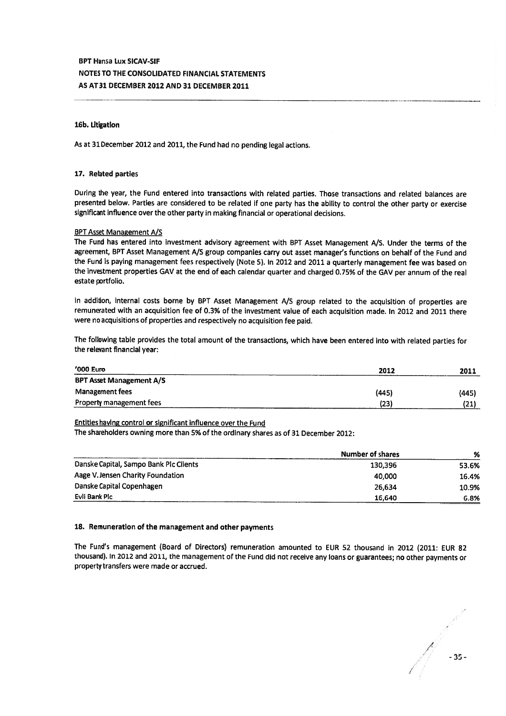## 16b. Litigation

As at <sup>31</sup> December <sup>2012</sup> and 2011, the Fund had no pending legal actions.

### 17. Related parties

During the year, the Fund entered into transactions with related parties. Those transactions and related balances are presented below. Parties are considered to be related if one party has the ability to control the other party or exercise significant influence over the other party in making financial or operational decisions.

#### BPT Asset Management A/S

The Fund has entered into investment advisory agreemen<sup>t</sup> with BPT Asset Management A/s. Under the terms of the agreement, BPT Asset Management A/S group companies carry out asset manager's functions on behalf of the Fund and the Fund is paying management fees respectively (Note 5). In 2012 and 2011 a quarterly management fee was based on the investment properties GAV at the end of each calendar quarter and charged 0.75% of the GAV per annum of the real estate portfolio.

In addition, internal costs borne by BPT Asset Management A/S group related to the acquisition of properties are remunerated with an acquisition fee of 0.3% of the investment value of each acquisition made. In <sup>2012</sup> and <sup>2011</sup> there were no acquisitions of properties and respectively no acquisition fee paid.

The following table provides the total amount of the transactions, which have been entered into with related parties for the relevant financial year:

| '000 Euro                       | 2012  | 2011  |
|---------------------------------|-------|-------|
| <b>BPT Asset Management A/S</b> |       |       |
| Management fees                 | (445) | (445) |
| Property management fees        | (23)  | (21)  |

### Entities having control or significant influence over the Fund

The shareholders owning more than 5% of the ordinary shares as of 31 December 2012:

|                                        | <b>Number of shares</b> | %     |
|----------------------------------------|-------------------------|-------|
| Danske Capital, Sampo Bank Plc Clients | 130.396                 | 53.6% |
| Aage V. Jensen Charity Foundation      | 40.000                  | 16.4% |
| Danske Capital Copenhagen              | 26.634                  | 10.9% |
| Evli Bank Plc                          | 16,640                  | 6.8%  |

### 18. Remuneration of the management and other payments

The Fund's managemen<sup>t</sup> (Board of Directors) remuneration amounted to EUR <sup>52</sup> thousand in <sup>2012</sup> (2011: EUR <sup>82</sup> thousand). In <sup>2012</sup> and 2011, the managemen<sup>t</sup> of the Fund did not receive any loans or guarantees; no other payments or property transfers were made or accrued.

/ -35.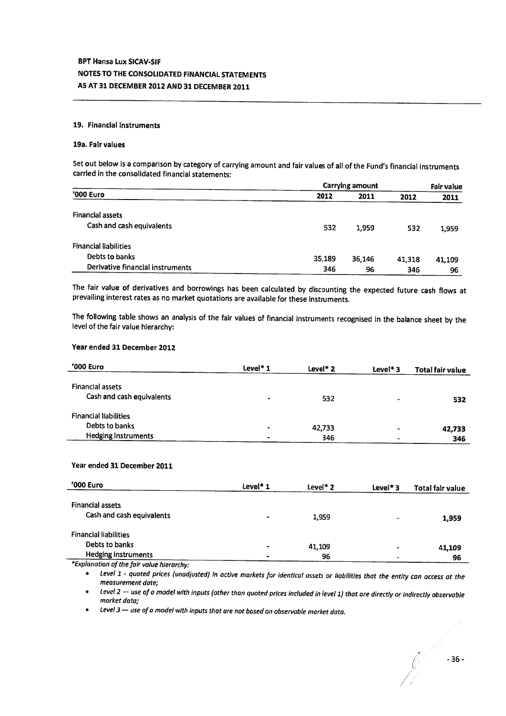### 19. Financial instruments

### 19a. Fair values

Set out below is <sup>a</sup> comparison by category of carrying amount and fair values of all of the Fund's financial instruments carried in the consolidated financial statements:

|                                  | Carrying amount |        |        |        |  |
|----------------------------------|-----------------|--------|--------|--------|--|
| '000 Euro                        | 2012            | 2011   | 2012   | 2011   |  |
| <b>Financial assets</b>          |                 |        |        |        |  |
| Cash and cash equivalents        | 532             | 1.959  | 532    | 1,959  |  |
| <b>Financial liabilities</b>     |                 |        |        |        |  |
| Debts to banks                   | 35,189          | 36,146 | 41,318 | 41,109 |  |
| Derivative financial instruments | 346             | 96     | 346    | 96     |  |

The fair value of derivatives and borrowings has been calculated by discounting the expected future cash flows at prevailing interest rates as no market quotations are available for these instruments.

The following table shows an analysis of the fair values of financial instruments recognised in the balance sheet by the level of the fair value hierarchy:

## Year ended 31 December 2012

| '000 Euro                                            | Level* 1  | Level* 2 | Level* $3$ | Total fair value |
|------------------------------------------------------|-----------|----------|------------|------------------|
| <b>Financial assets</b><br>Cash and cash equivalents | ۰         | 532      | ۰          | 532              |
| <b>Financial liabilities</b>                         |           |          |            |                  |
| Debts to banks                                       | $\bullet$ | 42,733   | $\cdot$    | 42,733           |
| <b>Hedging Instruments</b>                           | $\bullet$ | 346      | ٠          | 346              |

## Year ended 31 December 2011

| '000 Euro                                  | Level <sup>*</sup> 1 | $Level*2$ | Level <sup>*</sup> $3$ | Total fair value |
|--------------------------------------------|----------------------|-----------|------------------------|------------------|
| <b>Financial assets</b>                    |                      |           |                        |                  |
| Cash and cash equivalents                  |                      | 1,959     |                        | 1,959            |
|                                            |                      |           |                        |                  |
| <b>Financial liabilities</b>               |                      |           |                        |                  |
| Debts to banks                             |                      | 41,109    | -                      | 41,109           |
| Hedging instruments                        |                      | 96        | ۰                      | 96               |
| *Cuplanation of the four-volve transactive |                      |           |                        |                  |

Explanation of the fair value hierarchy:

. Level <sup>1</sup> - quoted prices (unadjusted) in active markets for identical assets or liabilities that the entity can access at the measurement date;

Level 2 — use of a model with inputs (other than quoted prices included in level 1) that are directly or indirectly observable<br>market data;

<sup>e</sup> Level <sup>3</sup> — use of <sup>a</sup> model with inputs that are not based an observable market data.

//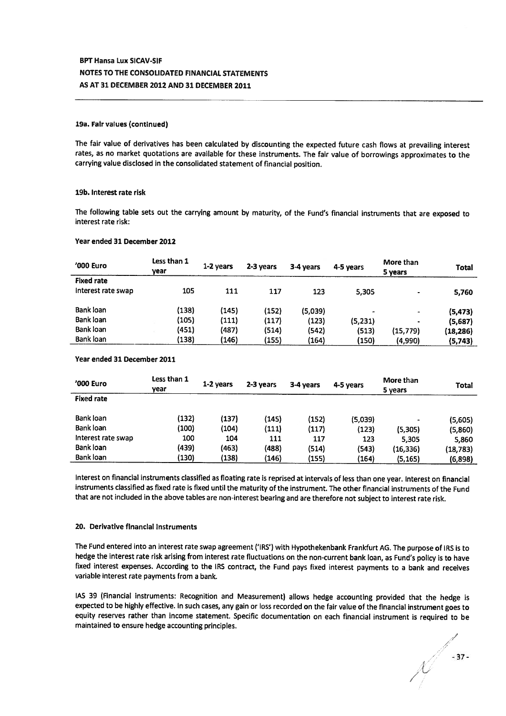### 19a. Fair values (continued)

The fair value of derivatives has been calculated by discounting the expected future cash flows at prevailing interest rates, as no market quotations are available for these instruments. The fair value of borrowings approximates to the carrying value disclosed in the consolidated statement of financial position.

#### 19b. Interest rate risk

The following table sets out the carrying amount by maturity, of the Fund's financial instruments that are expose<sup>d</sup> to interest rate risk:

### Year ended 31 December 2012

| '000 Euro          | Less than 1<br>vear | 1-2 vears | 2-3 years | 3-4 years | 4-5 years      | More than<br>5 years     | <b>Total</b> |
|--------------------|---------------------|-----------|-----------|-----------|----------------|--------------------------|--------------|
| <b>Fixed rate</b>  |                     |           |           |           |                |                          |              |
| Interest rate swap | 105                 | 111       | 117       | 123       | 5.305          | $\cdot$                  | 5,760        |
| Bank loan          | (138)               | (145)     | (152)     | (5,039)   | $\blacksquare$ | $\overline{\phantom{a}}$ | (5, 473)     |
| Bank loan          | (105)               | (111)     | (117)     | (123)     | (5, 231)       | $\bullet$                | (5,687)      |
| Bank loan          | (451)               | (487)     | (514)     | (542)     | (513)          | (15, 779)                | (18, 286)    |
| Bank loan          | (138)               | (146)     | (155)     | (164)     | (150)          | (4,990)                  | (5,743)      |

#### Year ended 31 December 2011

| '000 Euro          | Less than 1<br>vear | 1-2 years | 2-3 years | 3-4 years | 4-5 years | More than<br>5 years | Total     |
|--------------------|---------------------|-----------|-----------|-----------|-----------|----------------------|-----------|
| <b>Fixed rate</b>  |                     |           |           |           |           |                      |           |
| Bank loan          | (132)               | (137)     | (145)     | (152)     | (5,039)   |                      | (5,605)   |
| Bank loan          | (100)               | (104)     | (111)     | (117)     | (123)     | (5,305)              | (5,860)   |
| Interest rate swap | 100                 | 104       | 111       | 117       | 123       | 5,305                | 5,860     |
| Bank loan          | (439)               | (463)     | (488)     | (514)     | (543)     | (16, 336)            | (18, 783) |
| Bank loan          | (130)               | (138)     | (146)     | (155)     | (164)     | (5, 165)             | (6,898)   |

Interest on financial instruments classified as floating rate is reprised at intervals of less than one year. Interest on financial instruments classified as fixed rate is fixed until the maturity of the instrument. The other financial instruments of the Fund that are not included in the above tables are non-interest bearing and are therefore not subject to interest rate risk.

#### 20. Derivative financial instruments

The Fund entered into an interest rate swap agreemen<sup>t</sup> ('IRS') with Hypothekenbank Frankfurt AG. The purpose of IRS is to hedge the interest rate risk arising from interest rate fluctuations on the non-current bank loan, as Fund's policy is to have fixed interest expenses. According to the IRS contract, the Fund pays fixed interest payments to <sup>a</sup> bank and receives variable interest rate payments from <sup>a</sup> bank.

lAS <sup>39</sup> (Financial instruments: Recognition and Measurement) allows hedge accounting provided that the hedge is expected to be highly effective. In such cases, any gain or loss recorded on the fair value of the financial instrument goes to equity reserves rather than income statement. Specific documentation on each financial instrument is required to be maintained to ensure hedge accounting principles.

/ /  $\sim$  -37-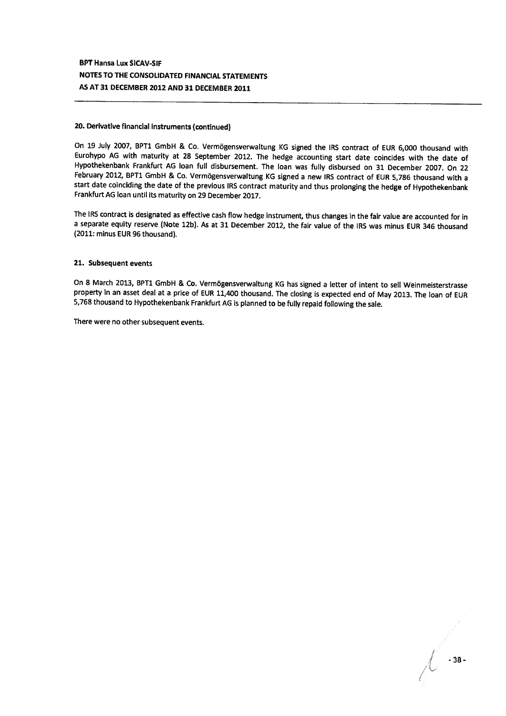#### 20. Derivative financial instruments (continued)

On 19 July 2007, BPT1 GmbH & Co. Vermögensverwaltung KG signed the IRS contract of EUR 6,000 thousand with Eurohypo AG with maturity at <sup>28</sup> September 2012. The hedge accounting start date coincides with the date of Hypothekenbank Frankfurt AG loan full disbursement. The loan was fully disbursed on <sup>31</sup> December 2007. On <sup>22</sup> February 2012, BPT1 GmbH & Co. Vermögensverwaltung KG signed <sup>a</sup> new IRS contract of EUR 5,786 thousand with <sup>a</sup> start date coinciding the date of the previous IRS contract maturity and thus prolonging the hedge of Hypothekenbank Frankfurt AG loan until its maturity on 29 December 2017.

The IRS contract is designated as effective cash flow hedge instrument, thus changes in the fair value are accounted for in <sup>a</sup> separate equity reserve (Note 12b). As at <sup>31</sup> December 2012, the fair value of the IRS was minus EUR 346 thousand (2011: minus EUR 96 thousand).

### 21. Subsequent events

On <sup>8</sup> March 2013, BPT1 GmbH & Co. Vermogensverwaltung KG has signed <sup>a</sup> letter of intent to sell Weinmeisterstrasse property in an asset deal at <sup>a</sup> price of EUR 11,400 thousand. The closing is expected end of May 2013. The loan of EUR 5,768 thousand to Hypothekenbank Frankfurt AG is <sup>p</sup>lanned to be fully repaid following the sale.

There were no other subsequent events.